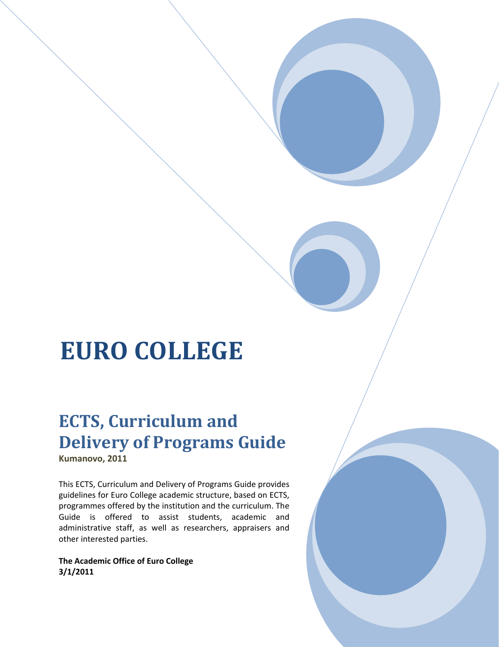# **EURO COLLEGE**

the contract of the contract of the contract of

# **ECTS, Curriculum and Delivery of Programs Guide Kumanovo, 2011**

This ECTS, Curriculum and Delivery of Programs Guide provides guidelines for Euro College academic structure, based on ECTS, programmes offered by the institution and the curriculum. The Guide is offered to assist students, academic and administrative staff, as well as researchers, appraisers and other interested parties.

**The Academic Office of Euro College 3/1/2011**

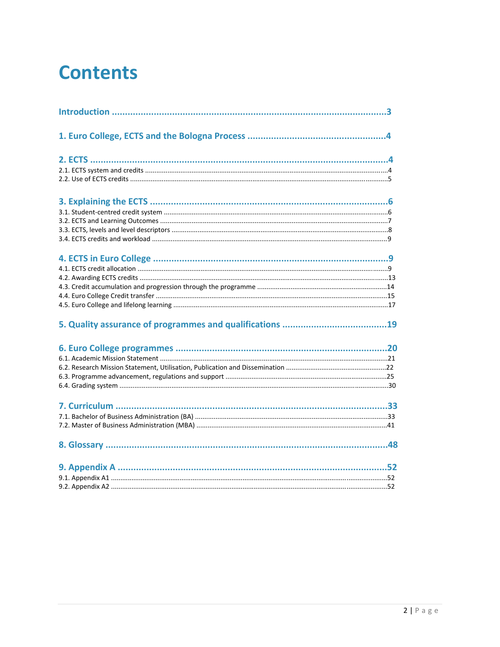# **Contents**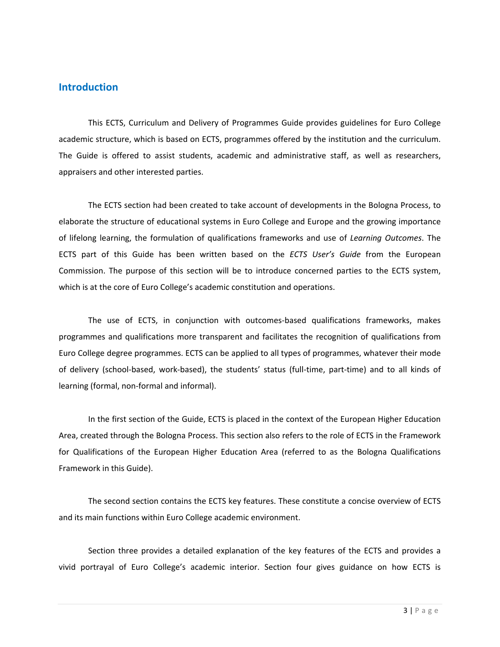# **Introduction**

This ECTS, Curriculum and Delivery of Programmes Guide provides guidelines for Euro College academic structure, which is based on ECTS, programmes offered by the institution and the curriculum. The Guide is offered to assist students, academic and administrative staff, as well as researchers, appraisers and other interested parties.

The ECTS section had been created to take account of developments in the Bologna Process, to elaborate the structure of educational systems in Euro College and Europe and the growing importance of lifelong learning, the formulation of qualifications frameworks and use of *Learning Outcomes*. The ECTS part of this Guide has been written based on the *ECTS User's Guide* from the European Commission. The purpose of this section will be to introduce concerned parties to the ECTS system, which is at the core of Euro College's academic constitution and operations.

The use of ECTS, in conjunction with outcomes-based qualifications frameworks, makes programmes and qualifications more transparent and facilitates the recognition of qualifications from Euro College degree programmes. ECTS can be applied to all types of programmes, whatever their mode of delivery (school‐based, work‐based), the students' status (full‐time, part‐time) and to all kinds of learning (formal, non‐formal and informal).

In the first section of the Guide, ECTS is placed in the context of the European Higher Education Area, created through the Bologna Process. This section also refers to the role of ECTS in the Framework for Qualifications of the European Higher Education Area (referred to as the Bologna Qualifications Framework in this Guide).

The second section contains the ECTS key features. These constitute a concise overview of ECTS and its main functions within Euro College academic environment.

Section three provides a detailed explanation of the key features of the ECTS and provides a vivid portrayal of Euro College's academic interior. Section four gives guidance on how ECTS is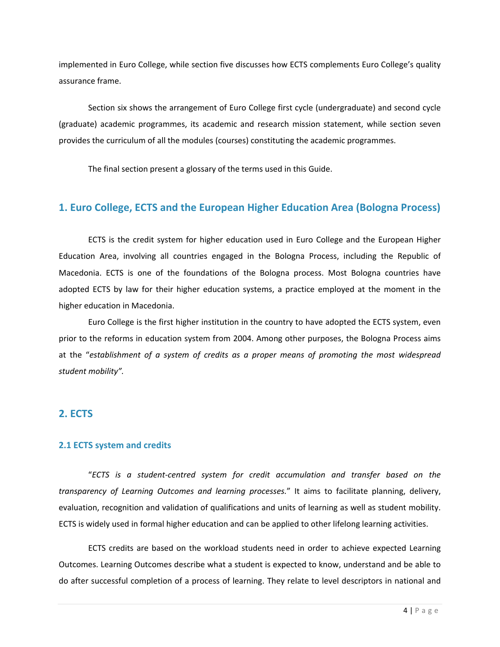implemented in Euro College, while section five discusses how ECTS complements Euro College's quality assurance frame.

Section six shows the arrangement of Euro College first cycle (undergraduate) and second cycle (graduate) academic programmes, its academic and research mission statement, while section seven provides the curriculum of all the modules (courses) constituting the academic programmes.

The final section present a glossary of the terms used in this Guide.

# **1. Euro College, ECTS and the European Higher Education Area (Bologna Process)**

ECTS is the credit system for higher education used in Euro College and the European Higher Education Area, involving all countries engaged in the Bologna Process, including the Republic of Macedonia. ECTS is one of the foundations of the Bologna process. Most Bologna countries have adopted ECTS by law for their higher education systems, a practice employed at the moment in the higher education in Macedonia.

Euro College is the first higher institution in the country to have adopted the ECTS system, even prior to the reforms in education system from 2004. Among other purposes, the Bologna Process aims at the "*establishment of a system of credits as a proper means of promoting the most widespread student mobility".*

# **2. ECTS**

#### **2.1 ECTS system and credits**

"*ECTS is a student‐centred system for credit accumulation and transfer based on the transparency of Learning Outcomes and learning processes.*" It aims to facilitate planning, delivery, evaluation, recognition and validation of qualifications and units of learning as well as student mobility. ECTS is widely used in formal higher education and can be applied to other lifelong learning activities.

ECTS credits are based on the workload students need in order to achieve expected Learning Outcomes. Learning Outcomes describe what a student is expected to know, understand and be able to do after successful completion of a process of learning. They relate to level descriptors in national and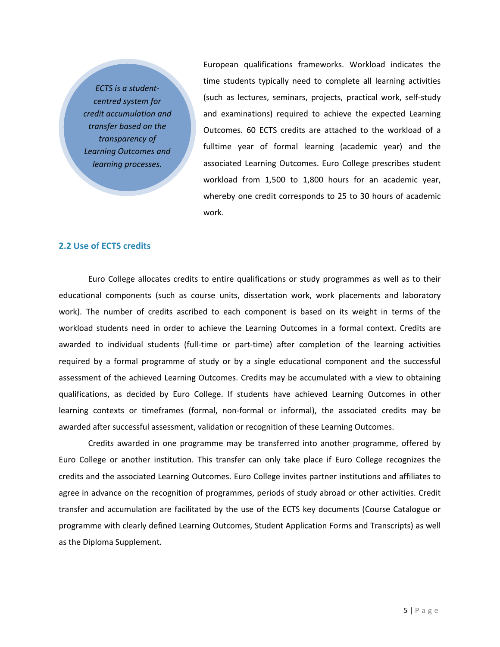*ECTS is a student‐ centred system for credit accumulation and transfer based on the transparency of Learning Outcomes and learning processes.*

European qualifications frameworks. Workload indicates the time students typically need to complete all learning activities (such as lectures, seminars, projects, practical work, self‐study and examinations) required to achieve the expected Learning Outcomes. 60 ECTS credits are attached to the workload of a fulltime year of formal learning (academic year) and the associated Learning Outcomes. Euro College prescribes student workload from 1,500 to 1,800 hours for an academic year, whereby one credit corresponds to 25 to 30 hours of academic work.

#### **2.2 Use of ECTS credits**

Euro College allocates credits to entire qualifications or study programmes as well as to their educational components (such as course units, dissertation work, work placements and laboratory work). The number of credits ascribed to each component is based on its weight in terms of the workload students need in order to achieve the Learning Outcomes in a formal context. Credits are awarded to individual students (full-time or part-time) after completion of the learning activities required by a formal programme of study or by a single educational component and the successful assessment of the achieved Learning Outcomes. Credits may be accumulated with a view to obtaining qualifications, as decided by Euro College. If students have achieved Learning Outcomes in other learning contexts or timeframes (formal, non‐formal or informal), the associated credits may be awarded after successful assessment, validation or recognition of these Learning Outcomes.

Credits awarded in one programme may be transferred into another programme, offered by Euro College or another institution. This transfer can only take place if Euro College recognizes the credits and the associated Learning Outcomes. Euro College invites partner institutions and affiliates to agree in advance on the recognition of programmes, periods of study abroad or other activities. Credit transfer and accumulation are facilitated by the use of the ECTS key documents (Course Catalogue or programme with clearly defined Learning Outcomes, Student Application Forms and Transcripts) as well as the Diploma Supplement.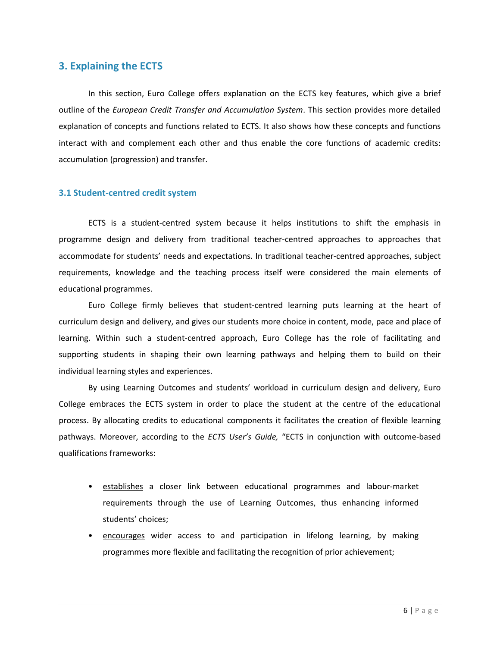# **3. Explaining the ECTS**

In this section, Euro College offers explanation on the ECTS key features, which give a brief outline of the *European Credit Transfer and Accumulation System*. This section provides more detailed explanation of concepts and functions related to ECTS. It also shows how these concepts and functions interact with and complement each other and thus enable the core functions of academic credits: accumulation (progression) and transfer.

#### **3.1 Student‐centred credit system**

ECTS is a student‐centred system because it helps institutions to shift the emphasis in programme design and delivery from traditional teacher‐centred approaches to approaches that accommodate for students' needs and expectations. In traditional teacher‐centred approaches, subject requirements, knowledge and the teaching process itself were considered the main elements of educational programmes.

Euro College firmly believes that student‐centred learning puts learning at the heart of curriculum design and delivery, and gives our students more choice in content, mode, pace and place of learning. Within such a student‐centred approach, Euro College has the role of facilitating and supporting students in shaping their own learning pathways and helping them to build on their individual learning styles and experiences.

By using Learning Outcomes and students' workload in curriculum design and delivery, Euro College embraces the ECTS system in order to place the student at the centre of the educational process. By allocating credits to educational components it facilitates the creation of flexible learning pathways. Moreover, according to the *ECTS User's Guide,* "ECTS in conjunction with outcome‐based qualifications frameworks:

- establishes a closer link between educational programmes and labour‐market requirements through the use of Learning Outcomes, thus enhancing informed students' choices;
- encourages wider access to and participation in lifelong learning, by making programmes more flexible and facilitating the recognition of prior achievement;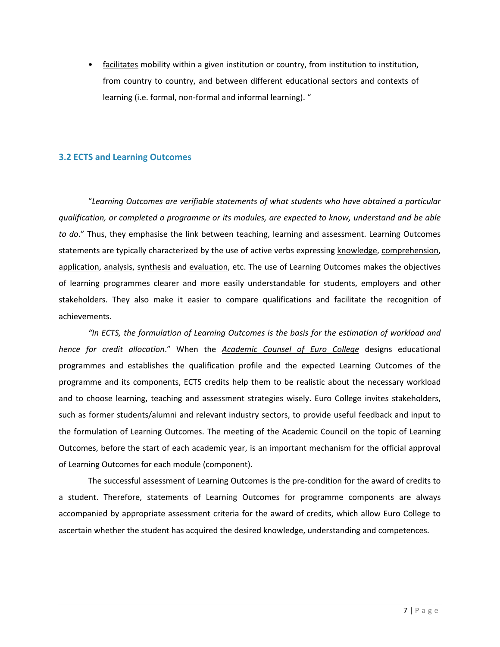• facilitates mobility within a given institution or country, from institution to institution, from country to country, and between different educational sectors and contexts of learning (i.e. formal, non‐formal and informal learning). "

# **3.2 ECTS and Learning Outcomes**

"*Learning Outcomes are verifiable statements of what students who have obtained a particular qualification, or completed a programme or its modules, are expected to know, understand and be able to do*." Thus, they emphasise the link between teaching, learning and assessment. Learning Outcomes statements are typically characterized by the use of active verbs expressing knowledge, comprehension, application, analysis, synthesis and evaluation, etc. The use of Learning Outcomes makes the objectives of learning programmes clearer and more easily understandable for students, employers and other stakeholders. They also make it easier to compare qualifications and facilitate the recognition of achievements.

*"In ECTS, the formulation of Learning Outcomes is the basis for the estimation of workload and hence for credit allocation*." When the *Academic Counsel of Euro College* designs educational programmes and establishes the qualification profile and the expected Learning Outcomes of the programme and its components, ECTS credits help them to be realistic about the necessary workload and to choose learning, teaching and assessment strategies wisely. Euro College invites stakeholders, such as former students/alumni and relevant industry sectors, to provide useful feedback and input to the formulation of Learning Outcomes. The meeting of the Academic Council on the topic of Learning Outcomes, before the start of each academic year, is an important mechanism for the official approval of Learning Outcomes for each module (component).

The successful assessment of Learning Outcomes is the pre‐condition for the award of credits to a student. Therefore, statements of Learning Outcomes for programme components are always accompanied by appropriate assessment criteria for the award of credits, which allow Euro College to ascertain whether the student has acquired the desired knowledge, understanding and competences.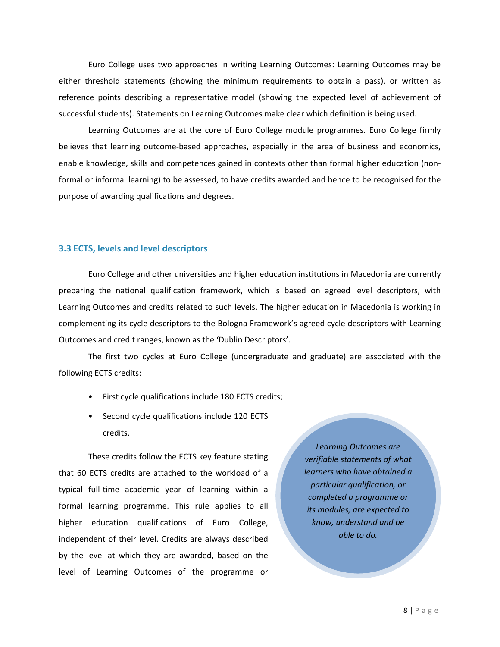Euro College uses two approaches in writing Learning Outcomes: Learning Outcomes may be either threshold statements (showing the minimum requirements to obtain a pass), or written as reference points describing a representative model (showing the expected level of achievement of successful students). Statements on Learning Outcomes make clear which definition is being used.

Learning Outcomes are at the core of Euro College module programmes. Euro College firmly believes that learning outcome-based approaches, especially in the area of business and economics, enable knowledge, skills and competences gained in contexts other than formal higher education (non‐ formal or informal learning) to be assessed, to have credits awarded and hence to be recognised for the purpose of awarding qualifications and degrees.

#### **3.3 ECTS, levels and level descriptors**

Euro College and other universities and higher education institutions in Macedonia are currently preparing the national qualification framework, which is based on agreed level descriptors, with Learning Outcomes and credits related to such levels. The higher education in Macedonia is working in complementing its cycle descriptors to the Bologna Framework's agreed cycle descriptors with Learning Outcomes and credit ranges, known as the 'Dublin Descriptors'.

The first two cycles at Euro College (undergraduate and graduate) are associated with the following ECTS credits:

- First cycle qualifications include 180 ECTS credits;
- Second cycle qualifications include 120 ECTS credits.

These credits follow the ECTS key feature stating that 60 ECTS credits are attached to the workload of a typical full‐time academic year of learning within a formal learning programme. This rule applies to all higher education qualifications of Euro College, independent of their level. Credits are always described by the level at which they are awarded, based on the level of Learning Outcomes of the programme or

*Learning Outcomes are verifiable statements of what learners who have obtained a particular qualification, or completed a programme or its modules, are expected to know, understand and be able to do.*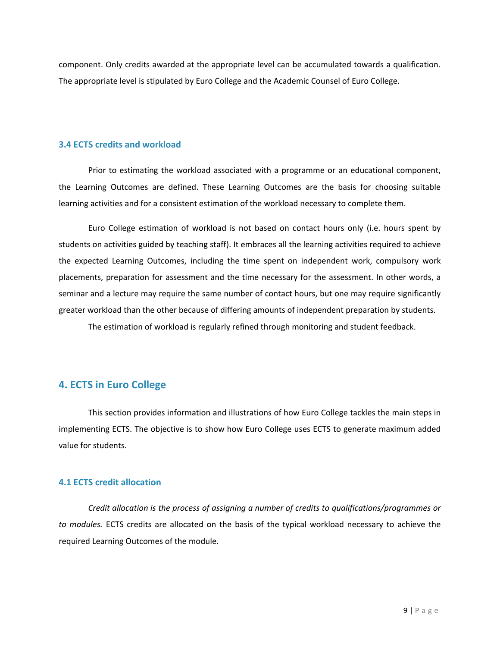component. Only credits awarded at the appropriate level can be accumulated towards a qualification. The appropriate level is stipulated by Euro College and the Academic Counsel of Euro College.

#### **3.4 ECTS credits and workload**

Prior to estimating the workload associated with a programme or an educational component, the Learning Outcomes are defined. These Learning Outcomes are the basis for choosing suitable learning activities and for a consistent estimation of the workload necessary to complete them.

Euro College estimation of workload is not based on contact hours only (i.e. hours spent by students on activities guided by teaching staff). It embraces all the learning activities required to achieve the expected Learning Outcomes, including the time spent on independent work, compulsory work placements, preparation for assessment and the time necessary for the assessment. In other words, a seminar and a lecture may require the same number of contact hours, but one may require significantly greater workload than the other because of differing amounts of independent preparation by students.

The estimation of workload is regularly refined through monitoring and student feedback.

# **4. ECTS in Euro College**

This section provides information and illustrations of how Euro College tackles the main steps in implementing ECTS. The objective is to show how Euro College uses ECTS to generate maximum added value for students.

#### **4.1 ECTS credit allocation**

*Credit allocation is the process of assigning a number of credits to qualifications/programmes or to modules.* ECTS credits are allocated on the basis of the typical workload necessary to achieve the required Learning Outcomes of the module.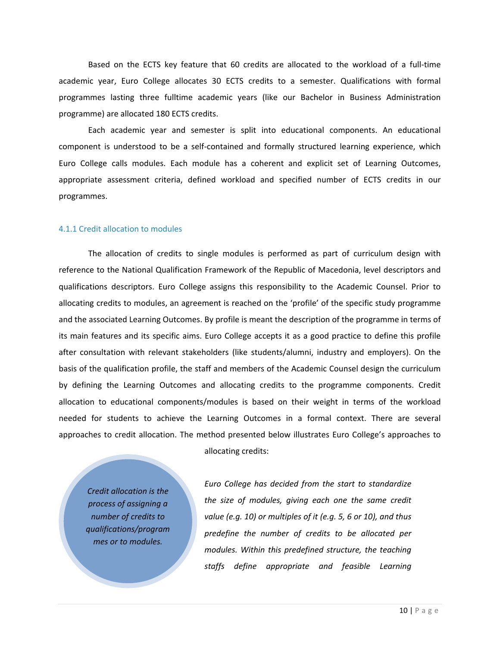Based on the ECTS key feature that 60 credits are allocated to the workload of a full‐time academic year, Euro College allocates 30 ECTS credits to a semester. Qualifications with formal programmes lasting three fulltime academic years (like our Bachelor in Business Administration programme) are allocated 180 ECTS credits.

Each academic year and semester is split into educational components. An educational component is understood to be a self‐contained and formally structured learning experience, which Euro College calls modules. Each module has a coherent and explicit set of Learning Outcomes, appropriate assessment criteria, defined workload and specified number of ECTS credits in our programmes.

#### 4.1.1 Credit allocation to modules

The allocation of credits to single modules is performed as part of curriculum design with reference to the National Qualification Framework of the Republic of Macedonia, level descriptors and qualifications descriptors. Euro College assigns this responsibility to the Academic Counsel. Prior to allocating credits to modules, an agreement is reached on the 'profile' of the specific study programme and the associated Learning Outcomes. By profile is meant the description of the programme in terms of its main features and its specific aims. Euro College accepts it as a good practice to define this profile after consultation with relevant stakeholders (like students/alumni, industry and employers). On the basis of the qualification profile, the staff and members of the Academic Counsel design the curriculum by defining the Learning Outcomes and allocating credits to the programme components. Credit allocation to educational components/modules is based on their weight in terms of the workload needed for students to achieve the Learning Outcomes in a formal context. There are several approaches to credit allocation. The method presented below illustrates Euro College's approaches to

allocating credits:

*Credit allocation is the process of assigning a number of credits to qualifications/program mes or to modules.*

*Euro College has decided from the start to standardize the size of modules, giving each one the same credit value (e.g. 10) or multiples of it (e.g. 5, 6 or 10), and thus predefine the number of credits to be allocated per modules. Within this predefined structure, the teaching staffs define appropriate and feasible Learning*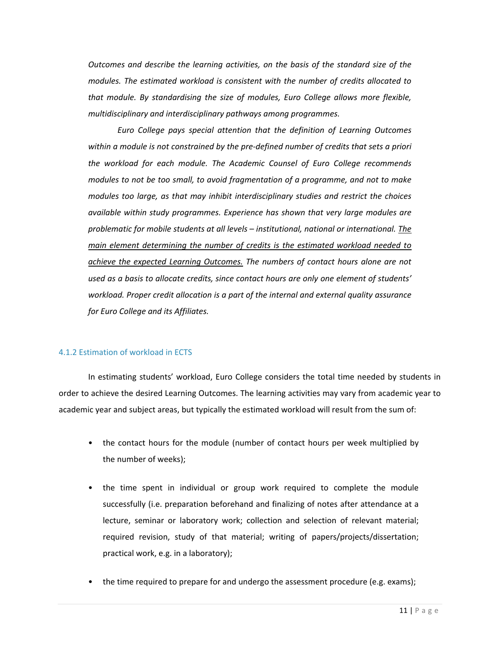*Outcomes and describe the learning activities, on the basis of the standard size of the modules. The estimated workload is consistent with the number of credits allocated to that module. By standardising the size of modules, Euro College allows more flexible, multidisciplinary and interdisciplinary pathways among programmes.* 

*Euro College pays special attention that the definition of Learning Outcomes within a module is not constrained by the pre‐defined number of credits that sets a priori the workload for each module. The Academic Counsel of Euro College recommends modules to not be too small, to avoid fragmentation of a programme, and not to make modules too large, as that may inhibit interdisciplinary studies and restrict the choices available within study programmes. Experience has shown that very large modules are problematic for mobile students at all levels – institutional, national or international. The main element determining the number of credits is the estimated workload needed to achieve the expected Learning Outcomes. The numbers of contact hours alone are not used as a basis to allocate credits, since contact hours are only one element of students' workload. Proper credit allocation is a part of the internal and external quality assurance for Euro College and its Affiliates.* 

#### 4.1.2 Estimation of workload in ECTS

In estimating students' workload, Euro College considers the total time needed by students in order to achieve the desired Learning Outcomes. The learning activities may vary from academic year to academic year and subject areas, but typically the estimated workload will result from the sum of:

- the contact hours for the module (number of contact hours per week multiplied by the number of weeks);
- the time spent in individual or group work required to complete the module successfully (i.e. preparation beforehand and finalizing of notes after attendance at a lecture, seminar or laboratory work; collection and selection of relevant material; required revision, study of that material; writing of papers/projects/dissertation; practical work, e.g. in a laboratory);
- the time required to prepare for and undergo the assessment procedure (e.g. exams);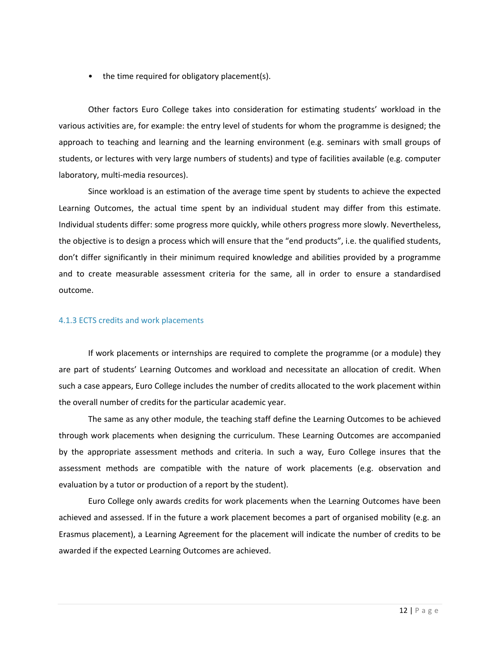• the time required for obligatory placement(s).

Other factors Euro College takes into consideration for estimating students' workload in the various activities are, for example: the entry level of students for whom the programme is designed; the approach to teaching and learning and the learning environment (e.g. seminars with small groups of students, or lectures with very large numbers of students) and type of facilities available (e.g. computer laboratory, multi‐media resources).

Since workload is an estimation of the average time spent by students to achieve the expected Learning Outcomes, the actual time spent by an individual student may differ from this estimate. Individual students differ: some progress more quickly, while others progress more slowly. Nevertheless, the objective is to design a process which will ensure that the "end products", i.e. the qualified students, don't differ significantly in their minimum required knowledge and abilities provided by a programme and to create measurable assessment criteria for the same, all in order to ensure a standardised outcome.

#### 4.1.3 ECTS credits and work placements

If work placements or internships are required to complete the programme (or a module) they are part of students' Learning Outcomes and workload and necessitate an allocation of credit. When such a case appears, Euro College includes the number of credits allocated to the work placement within the overall number of credits for the particular academic year.

The same as any other module, the teaching staff define the Learning Outcomes to be achieved through work placements when designing the curriculum. These Learning Outcomes are accompanied by the appropriate assessment methods and criteria. In such a way, Euro College insures that the assessment methods are compatible with the nature of work placements (e.g. observation and evaluation by a tutor or production of a report by the student).

Euro College only awards credits for work placements when the Learning Outcomes have been achieved and assessed. If in the future a work placement becomes a part of organised mobility (e.g. an Erasmus placement), a Learning Agreement for the placement will indicate the number of credits to be awarded if the expected Learning Outcomes are achieved.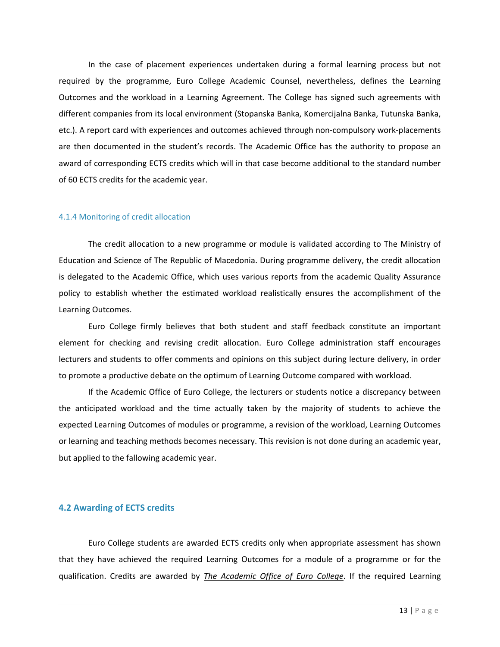In the case of placement experiences undertaken during a formal learning process but not required by the programme, Euro College Academic Counsel, nevertheless, defines the Learning Outcomes and the workload in a Learning Agreement. The College has signed such agreements with different companies from its local environment (Stopanska Banka, Komercijalna Banka, Tutunska Banka, etc.). A report card with experiences and outcomes achieved through non‐compulsory work‐placements are then documented in the student's records. The Academic Office has the authority to propose an award of corresponding ECTS credits which will in that case become additional to the standard number of 60 ECTS credits for the academic year.

#### 4.1.4 Monitoring of credit allocation

The credit allocation to a new programme or module is validated according to The Ministry of Education and Science of The Republic of Macedonia. During programme delivery, the credit allocation is delegated to the Academic Office, which uses various reports from the academic Quality Assurance policy to establish whether the estimated workload realistically ensures the accomplishment of the Learning Outcomes.

Euro College firmly believes that both student and staff feedback constitute an important element for checking and revising credit allocation. Euro College administration staff encourages lecturers and students to offer comments and opinions on this subject during lecture delivery, in order to promote a productive debate on the optimum of Learning Outcome compared with workload.

If the Academic Office of Euro College, the lecturers or students notice a discrepancy between the anticipated workload and the time actually taken by the majority of students to achieve the expected Learning Outcomes of modules or programme, a revision of the workload, Learning Outcomes or learning and teaching methods becomes necessary. This revision is not done during an academic year, but applied to the fallowing academic year.

#### **4.2 Awarding of ECTS credits**

Euro College students are awarded ECTS credits only when appropriate assessment has shown that they have achieved the required Learning Outcomes for a module of a programme or for the qualification. Credits are awarded by *The Academic Office of Euro College*. If the required Learning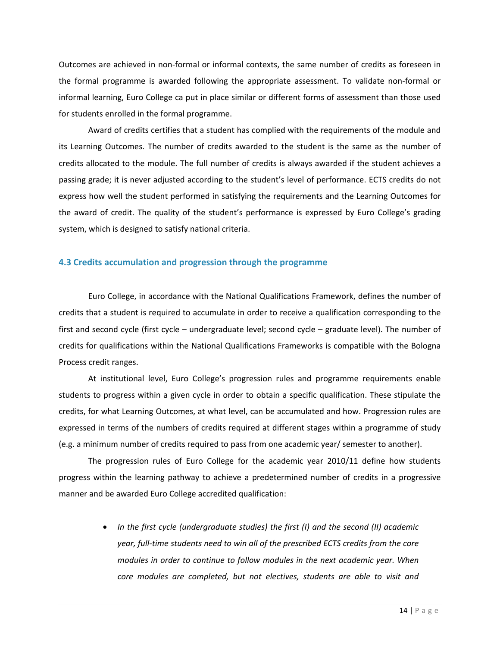Outcomes are achieved in non‐formal or informal contexts, the same number of credits as foreseen in the formal programme is awarded following the appropriate assessment. To validate non‐formal or informal learning, Euro College ca put in place similar or different forms of assessment than those used for students enrolled in the formal programme.

Award of credits certifies that a student has complied with the requirements of the module and its Learning Outcomes. The number of credits awarded to the student is the same as the number of credits allocated to the module. The full number of credits is always awarded if the student achieves a passing grade; it is never adjusted according to the student's level of performance. ECTS credits do not express how well the student performed in satisfying the requirements and the Learning Outcomes for the award of credit. The quality of the student's performance is expressed by Euro College's grading system, which is designed to satisfy national criteria.

#### **4.3 Credits accumulation and progression through the programme**

Euro College, in accordance with the National Qualifications Framework, defines the number of credits that a student is required to accumulate in order to receive a qualification corresponding to the first and second cycle (first cycle – undergraduate level; second cycle – graduate level). The number of credits for qualifications within the National Qualifications Frameworks is compatible with the Bologna Process credit ranges.

At institutional level, Euro College's progression rules and programme requirements enable students to progress within a given cycle in order to obtain a specific qualification. These stipulate the credits, for what Learning Outcomes, at what level, can be accumulated and how. Progression rules are expressed in terms of the numbers of credits required at different stages within a programme of study (e.g. a minimum number of credits required to pass from one academic year/ semester to another).

The progression rules of Euro College for the academic year 2010/11 define how students progress within the learning pathway to achieve a predetermined number of credits in a progressive manner and be awarded Euro College accredited qualification:

> *In the first cycle (undergraduate studies) the first (I) and the second (II) academic year, full‐time students need to win all of the prescribed ECTS credits from the core modules in order to continue to follow modules in the next academic year. When core modules are completed, but not electives, students are able to visit and*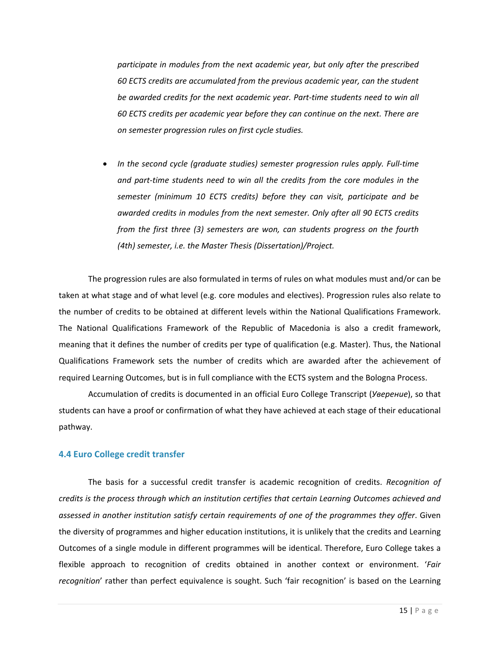*participate in modules from the next academic year, but only after the prescribed 60 ECTS credits are accumulated from the previous academic year, can the student be awarded credits for the next academic year. Part‐time students need to win all 60 ECTS credits per academic year before they can continue on the next. There are on semester progression rules on first cycle studies.* 

 *In the second cycle (graduate studies) semester progression rules apply. Full‐time and part‐time students need to win all the credits from the core modules in the semester (minimum 10 ECTS credits) before they can visit, participate and be awarded credits in modules from the next semester. Only after all 90 ECTS credits from the first three (3) semesters are won, can students progress on the fourth (4th) semester, i.e. the Master Thesis (Dissertation)/Project.* 

The progression rules are also formulated in terms of rules on what modules must and/or can be taken at what stage and of what level (e.g. core modules and electives). Progression rules also relate to the number of credits to be obtained at different levels within the National Qualifications Framework. The National Qualifications Framework of the Republic of Macedonia is also a credit framework, meaning that it defines the number of credits per type of qualification (e.g. Master). Thus, the National Qualifications Framework sets the number of credits which are awarded after the achievement of required Learning Outcomes, but is in full compliance with the ECTS system and the Bologna Process.

Accumulation of credits is documented in an official Euro College Transcript (*Уверение*), so that students can have a proof or confirmation of what they have achieved at each stage of their educational pathway.

#### **4.4 Euro College credit transfer**

The basis for a successful credit transfer is academic recognition of credits. *Recognition of credits is the process through which an institution certifies that certain Learning Outcomes achieved and assessed in another institution satisfy certain requirements of one of the programmes they offer*. Given the diversity of programmes and higher education institutions, it is unlikely that the credits and Learning Outcomes of a single module in different programmes will be identical. Therefore, Euro College takes a flexible approach to recognition of credits obtained in another context or environment. '*Fair recognition*' rather than perfect equivalence is sought. Such 'fair recognition' is based on the Learning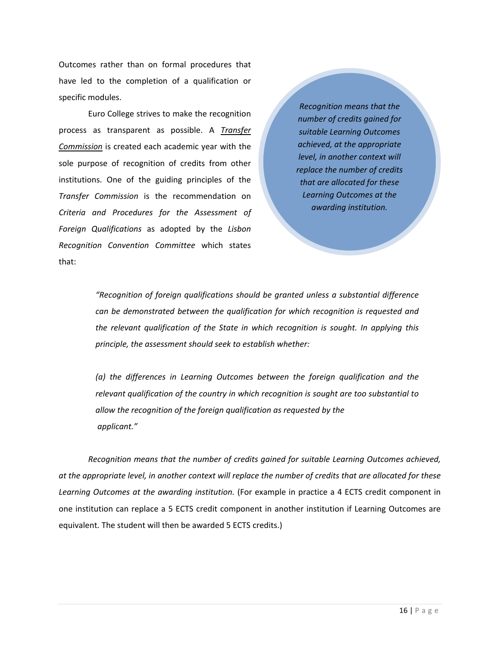Outcomes rather than on formal procedures that have led to the completion of a qualification or specific modules.

Euro College strives to make the recognition process as transparent as possible. A *Transfer Commission* is created each academic year with the sole purpose of recognition of credits from other institutions. One of the guiding principles of the *Transfer Commission* is the recommendation on *Criteria and Procedures for the Assessment of Foreign Qualifications* as adopted by the *Lisbon Recognition Convention Committee* which states that:

*Recognition means that the number of credits gained for suitable Learning Outcomes achieved, at the appropriate level, in another context will replace the number of credits that are allocated for these Learning Outcomes at the awarding institution.*

*"Recognition of foreign qualifications should be granted unless a substantial difference can be demonstrated between the qualification for which recognition is requested and the relevant qualification of the State in which recognition is sought. In applying this principle, the assessment should seek to establish whether:*

*(a) the differences in Learning Outcomes between the foreign qualification and the relevant qualification of the country in which recognition is sought are too substantial to allow the recognition of the foreign qualification as requested by the applicant."*

*Recognition means that the number of credits gained for suitable Learning Outcomes achieved,* at the appropriate level, in another context will replace the number of credits that are allocated for these *Learning Outcomes at the awarding institution.* (For example in practice a 4 ECTS credit component in one institution can replace a 5 ECTS credit component in another institution if Learning Outcomes are equivalent. The student will then be awarded 5 ECTS credits.)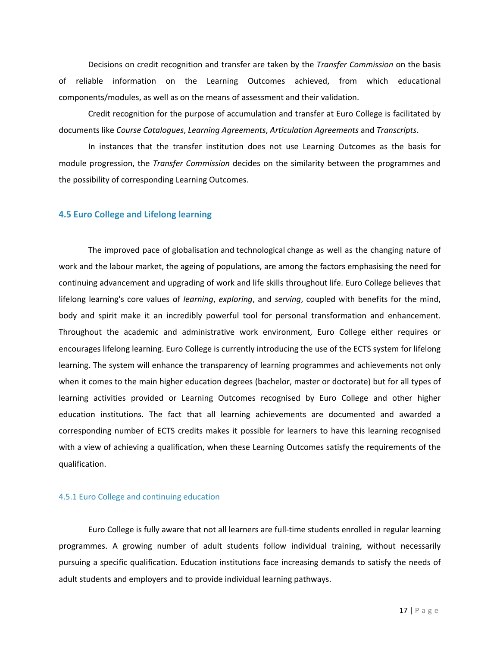Decisions on credit recognition and transfer are taken by the *Transfer Commission* on the basis of reliable information on the Learning Outcomes achieved, from which educational components/modules, as well as on the means of assessment and their validation.

Credit recognition for the purpose of accumulation and transfer at Euro College is facilitated by documents like *Course Catalogues*, *Learning Agreements*, *Articulation Agreements* and *Transcripts*.

In instances that the transfer institution does not use Learning Outcomes as the basis for module progression, the *Transfer Commission* decides on the similarity between the programmes and the possibility of corresponding Learning Outcomes.

#### **4.5 Euro College and Lifelong learning**

The improved pace of globalisation and technological change as well as the changing nature of work and the labour market, the ageing of populations, are among the factors emphasising the need for continuing advancement and upgrading of work and life skills throughout life. Euro College believes that lifelong learning's core values of *learning*, *exploring*, and *serving*, coupled with benefits for the mind, body and spirit make it an incredibly powerful tool for personal transformation and enhancement. Throughout the academic and administrative work environment, Euro College either requires or encourages lifelong learning. Euro College is currently introducing the use of the ECTS system for lifelong learning. The system will enhance the transparency of learning programmes and achievements not only when it comes to the main higher education degrees (bachelor, master or doctorate) but for all types of learning activities provided or Learning Outcomes recognised by Euro College and other higher education institutions. The fact that all learning achievements are documented and awarded a corresponding number of ECTS credits makes it possible for learners to have this learning recognised with a view of achieving a qualification, when these Learning Outcomes satisfy the requirements of the qualification.

#### 4.5.1 Euro College and continuing education

Euro College is fully aware that not all learners are full‐time students enrolled in regular learning programmes. A growing number of adult students follow individual training, without necessarily pursuing a specific qualification. Education institutions face increasing demands to satisfy the needs of adult students and employers and to provide individual learning pathways.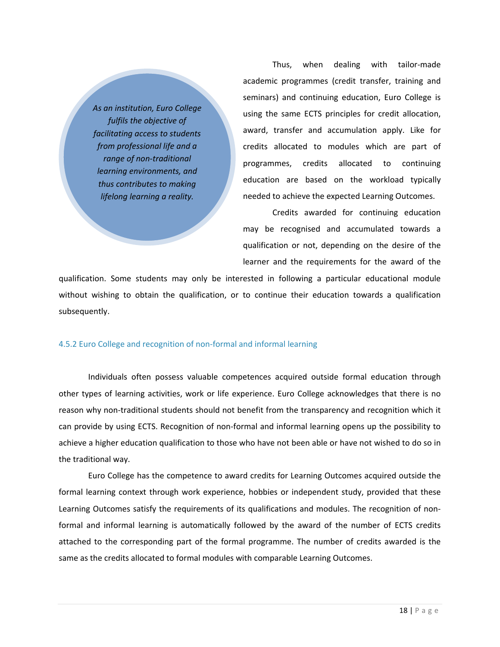*As an institution, Euro College fulfils the objective of facilitating access to students from professional life and a range of non‐traditional learning environments, and thus contributes to making lifelong learning a reality.*

Thus, when dealing with tailor‐made academic programmes (credit transfer, training and seminars) and continuing education, Euro College is using the same ECTS principles for credit allocation, award, transfer and accumulation apply. Like for credits allocated to modules which are part of programmes, credits allocated to continuing education are based on the workload typically needed to achieve the expected Learning Outcomes.

Credits awarded for continuing education may be recognised and accumulated towards a qualification or not, depending on the desire of the learner and the requirements for the award of the

qualification. Some students may only be interested in following a particular educational module without wishing to obtain the qualification, or to continue their education towards a qualification subsequently.

#### 4.5.2 Euro College and recognition of non‐formal and informal learning

Individuals often possess valuable competences acquired outside formal education through other types of learning activities, work or life experience. Euro College acknowledges that there is no reason why non-traditional students should not benefit from the transparency and recognition which it can provide by using ECTS. Recognition of non‐formal and informal learning opens up the possibility to achieve a higher education qualification to those who have not been able or have not wished to do so in the traditional way.

Euro College has the competence to award credits for Learning Outcomes acquired outside the formal learning context through work experience, hobbies or independent study, provided that these Learning Outcomes satisfy the requirements of its qualifications and modules. The recognition of non‐ formal and informal learning is automatically followed by the award of the number of ECTS credits attached to the corresponding part of the formal programme. The number of credits awarded is the same as the credits allocated to formal modules with comparable Learning Outcomes.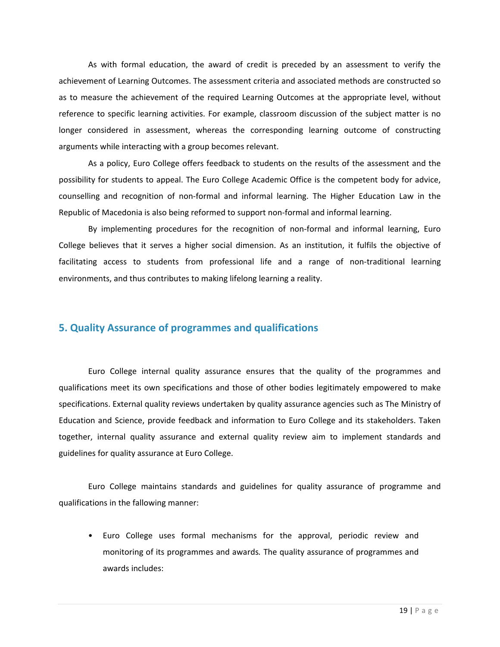As with formal education, the award of credit is preceded by an assessment to verify the achievement of Learning Outcomes. The assessment criteria and associated methods are constructed so as to measure the achievement of the required Learning Outcomes at the appropriate level, without reference to specific learning activities. For example, classroom discussion of the subject matter is no longer considered in assessment, whereas the corresponding learning outcome of constructing arguments while interacting with a group becomes relevant.

As a policy, Euro College offers feedback to students on the results of the assessment and the possibility for students to appeal. The Euro College Academic Office is the competent body for advice, counselling and recognition of non‐formal and informal learning. The Higher Education Law in the Republic of Macedonia is also being reformed to support non‐formal and informal learning.

By implementing procedures for the recognition of non‐formal and informal learning, Euro College believes that it serves a higher social dimension. As an institution, it fulfils the objective of facilitating access to students from professional life and a range of non-traditional learning environments, and thus contributes to making lifelong learning a reality.

# **5. Quality Assurance of programmes and qualifications**

Euro College internal quality assurance ensures that the quality of the programmes and qualifications meet its own specifications and those of other bodies legitimately empowered to make specifications. External quality reviews undertaken by quality assurance agencies such as The Ministry of Education and Science, provide feedback and information to Euro College and its stakeholders. Taken together, internal quality assurance and external quality review aim to implement standards and guidelines for quality assurance at Euro College.

Euro College maintains standards and guidelines for quality assurance of programme and qualifications in the fallowing manner:

• Euro College uses formal mechanisms for the approval, periodic review and monitoring of its programmes and awards*.* The quality assurance of programmes and awards includes: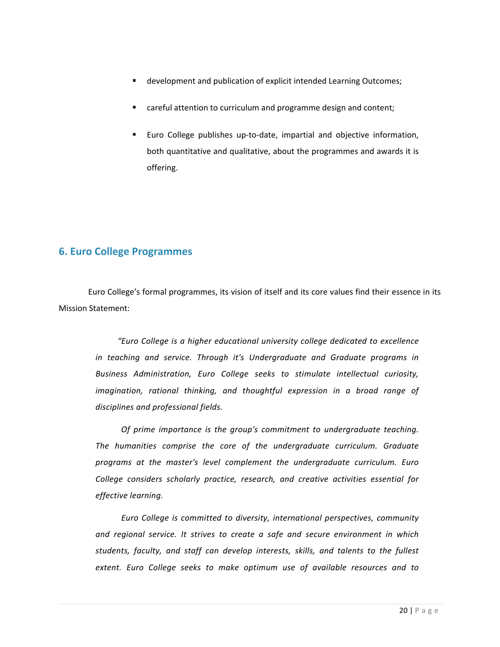- development and publication of explicit intended Learning Outcomes;
- careful attention to curriculum and programme design and content;
- Euro College publishes up‐to‐date, impartial and objective information, both quantitative and qualitative, about the programmes and awards it is offering.

# **6. Euro College Programmes**

Euro College's formal programmes, its vision of itself and its core values find their essence in its Mission Statement:

*"Euro College is a higher educational university college dedicated to excellence in teaching and service. Through it's Undergraduate and Graduate programs in Business Administration, Euro College seeks to stimulate intellectual curiosity, imagination, rational thinking, and thoughtful expression in a broad range of disciplines and professional fields.*

*Of prime importance is the group's commitment to undergraduate teaching. The humanities comprise the core of the undergraduate curriculum. Graduate programs at the master's level complement the undergraduate curriculum. Euro College considers scholarly practice, research, and creative activities essential for effective learning.*

*Euro College is committed to diversity, international perspectives, community and regional service. It strives to create a safe and secure environment in which students, faculty, and staff can develop interests, skills, and talents to the fullest extent. Euro College seeks to make optimum use of available resources and to*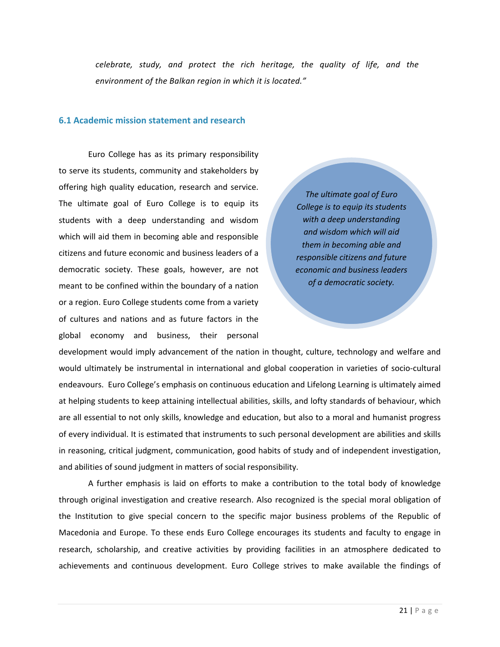*celebrate, study, and protect the rich heritage, the quality of life, and the environment of the Balkan region in which it is located."*

#### **6.1 Academic mission statement and research**

Euro College has as its primary responsibility to serve its students, community and stakeholders by offering high quality education, research and service. The ultimate goal of Euro College is to equip its students with a deep understanding and wisdom which will aid them in becoming able and responsible citizens and future economic and business leaders of a democratic society. These goals, however, are not meant to be confined within the boundary of a nation or a region. Euro College students come from a variety of cultures and nations and as future factors in the global economy and business, their personal

*The ultimate goal of Euro College is to equip its students with a deep understanding and wisdom which will aid them in becoming able and responsible citizens and future economic and business leaders of a democratic society.*

development would imply advancement of the nation in thought, culture, technology and welfare and would ultimately be instrumental in international and global cooperation in varieties of socio‐cultural endeavours. Euro College's emphasis on continuous education and Lifelong Learning is ultimately aimed at helping students to keep attaining intellectual abilities, skills, and lofty standards of behaviour, which are all essential to not only skills, knowledge and education, but also to a moral and humanist progress of every individual. It is estimated that instruments to such personal development are abilities and skills in reasoning, critical judgment, communication, good habits of study and of independent investigation, and abilities of sound judgment in matters of social responsibility.

A further emphasis is laid on efforts to make a contribution to the total body of knowledge through original investigation and creative research. Also recognized is the special moral obligation of the Institution to give special concern to the specific major business problems of the Republic of Macedonia and Europe. To these ends Euro College encourages its students and faculty to engage in research, scholarship, and creative activities by providing facilities in an atmosphere dedicated to achievements and continuous development. Euro College strives to make available the findings of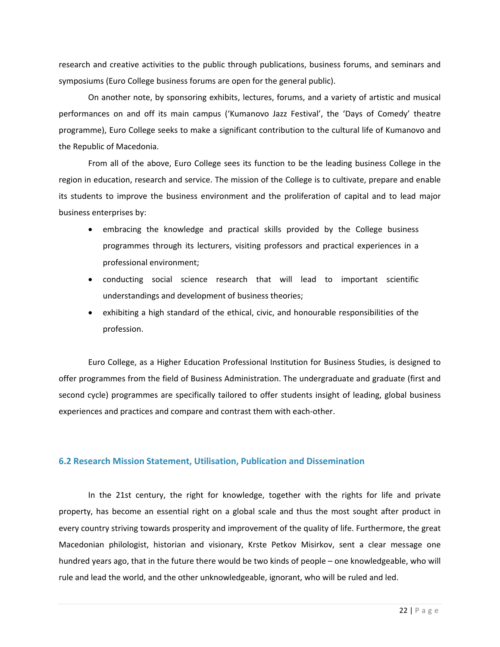research and creative activities to the public through publications, business forums, and seminars and symposiums (Euro College business forums are open for the general public).

On another note, by sponsoring exhibits, lectures, forums, and a variety of artistic and musical performances on and off its main campus ('Kumanovo Jazz Festival', the 'Days of Comedy' theatre programme), Euro College seeks to make a significant contribution to the cultural life of Kumanovo and the Republic of Macedonia.

From all of the above, Euro College sees its function to be the leading business College in the region in education, research and service. The mission of the College is to cultivate, prepare and enable its students to improve the business environment and the proliferation of capital and to lead major business enterprises by:

- embracing the knowledge and practical skills provided by the College business programmes through its lecturers, visiting professors and practical experiences in a professional environment;
- conducting social science research that will lead to important scientific understandings and development of business theories;
- exhibiting a high standard of the ethical, civic, and honourable responsibilities of the profession.

Euro College, as a Higher Education Professional Institution for Business Studies, is designed to offer programmes from the field of Business Administration. The undergraduate and graduate (first and second cycle) programmes are specifically tailored to offer students insight of leading, global business experiences and practices and compare and contrast them with each‐other.

#### **6.2 Research Mission Statement, Utilisation, Publication and Dissemination**

In the 21st century, the right for knowledge, together with the rights for life and private property, has become an essential right on a global scale and thus the most sought after product in every country striving towards prosperity and improvement of the quality of life. Furthermore, the great Macedonian philologist, historian and visionary, Krste Petkov Misirkov, sent a clear message one hundred years ago, that in the future there would be two kinds of people – one knowledgeable, who will rule and lead the world, and the other unknowledgeable, ignorant, who will be ruled and led.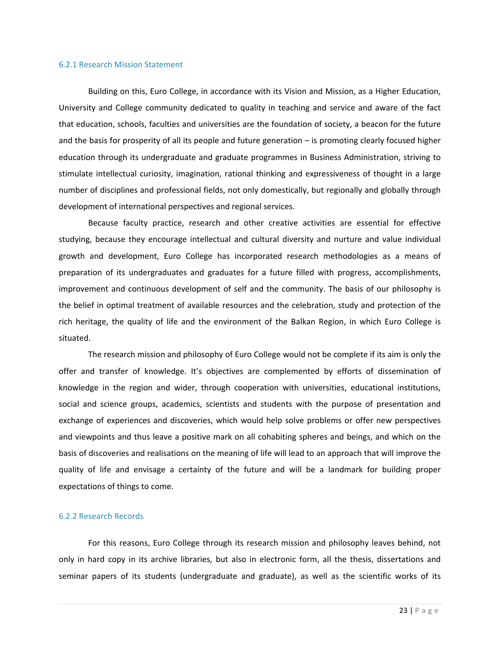#### 6.2.1 Research Mission Statement

Building on this, Euro College, in accordance with its Vision and Mission, as a Higher Education, University and College community dedicated to quality in teaching and service and aware of the fact that education, schools, faculties and universities are the foundation of society, a beacon for the future and the basis for prosperity of all its people and future generation – is promoting clearly focused higher education through its undergraduate and graduate programmes in Business Administration, striving to stimulate intellectual curiosity, imagination, rational thinking and expressiveness of thought in a large number of disciplines and professional fields, not only domestically, but regionally and globally through development of international perspectives and regional services.

Because faculty practice, research and other creative activities are essential for effective studying, because they encourage intellectual and cultural diversity and nurture and value individual growth and development, Euro College has incorporated research methodologies as a means of preparation of its undergraduates and graduates for a future filled with progress, accomplishments, improvement and continuous development of self and the community. The basis of our philosophy is the belief in optimal treatment of available resources and the celebration, study and protection of the rich heritage, the quality of life and the environment of the Balkan Region, in which Euro College is situated.

The research mission and philosophy of Euro College would not be complete if its aim is only the offer and transfer of knowledge. It's objectives are complemented by efforts of dissemination of knowledge in the region and wider, through cooperation with universities, educational institutions, social and science groups, academics, scientists and students with the purpose of presentation and exchange of experiences and discoveries, which would help solve problems or offer new perspectives and viewpoints and thus leave a positive mark on all cohabiting spheres and beings, and which on the basis of discoveries and realisations on the meaning of life will lead to an approach that will improve the quality of life and envisage a certainty of the future and will be a landmark for building proper expectations of things to come.

#### 6.2.2 Research Records

For this reasons, Euro College through its research mission and philosophy leaves behind, not only in hard copy in its archive libraries, but also in electronic form, all the thesis, dissertations and seminar papers of its students (undergraduate and graduate), as well as the scientific works of its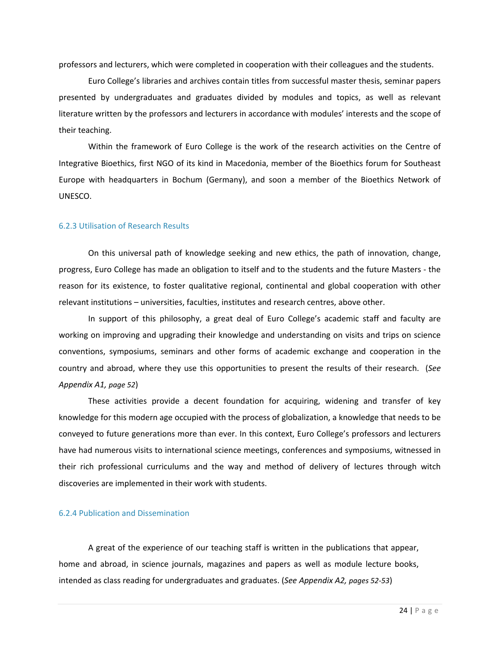professors and lecturers, which were completed in cooperation with their colleagues and the students.

Euro College's libraries and archives contain titles from successful master thesis, seminar papers presented by undergraduates and graduates divided by modules and topics, as well as relevant literature written by the professors and lecturers in accordance with modules' interests and the scope of their teaching.

Within the framework of Euro College is the work of the research activities on the Centre of Integrative Bioethics, first NGO of its kind in Macedonia, member of the Bioethics forum for Southeast Europe with headquarters in Bochum (Germany), and soon a member of the Bioethics Network of UNESCO.

#### 6.2.3 Utilisation of Research Results

On this universal path of knowledge seeking and new ethics, the path of innovation, change, progress, Euro College has made an obligation to itself and to the students and the future Masters ‐ the reason for its existence, to foster qualitative regional, continental and global cooperation with other relevant institutions – universities, faculties, institutes and research centres, above other.

In support of this philosophy, a great deal of Euro College's academic staff and faculty are working on improving and upgrading their knowledge and understanding on visits and trips on science conventions, symposiums, seminars and other forms of academic exchange and cooperation in the country and abroad, where they use this opportunities to present the results of their research. (*See Appendix A1, page 52*)

These activities provide a decent foundation for acquiring, widening and transfer of key knowledge for this modern age occupied with the process of globalization, a knowledge that needs to be conveyed to future generations more than ever. In this context, Euro College's professors and lecturers have had numerous visits to international science meetings, conferences and symposiums, witnessed in their rich professional curriculums and the way and method of delivery of lectures through witch discoveries are implemented in their work with students.

#### 6.2.4 Publication and Dissemination

A great of the experience of our teaching staff is written in the publications that appear, home and abroad, in science journals, magazines and papers as well as module lecture books, intended as class reading for undergraduates and graduates. (*See Appendix A2, pages 52‐53*)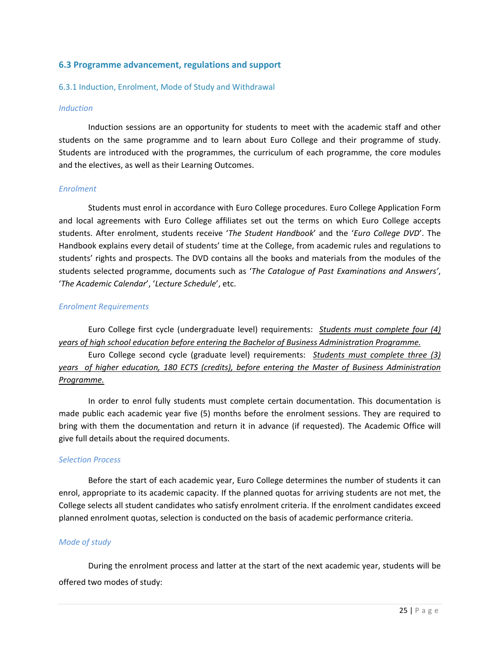#### **6.3 Programme advancement, regulations and support**

#### 6.3.1 Induction, Enrolment, Mode of Study and Withdrawal

#### *Induction*

Induction sessions are an opportunity for students to meet with the academic staff and other students on the same programme and to learn about Euro College and their programme of study. Students are introduced with the programmes, the curriculum of each programme, the core modules and the electives, as well as their Learning Outcomes.

#### *Enrolment*

Students must enrol in accordance with Euro College procedures. Euro College Application Form and local agreements with Euro College affiliates set out the terms on which Euro College accepts students. After enrolment, students receive '*The Student Handbook*' and the '*Euro College DVD*'. The Handbook explains every detail of students' time at the College, from academic rules and regulations to students' rights and prospects. The DVD contains all the books and materials from the modules of the students selected programme, documents such as '*The Catalogue of Past Examinations and Answers'*, '*The Academic Calendar*', '*Lecture Schedule*', etc.

#### *Enrolment Requirements*

Euro College first cycle (undergraduate level) requirements: *Students must complete four (4) years of high school education before entering the Bachelor of Business Administration Programme.*

Euro College second cycle (graduate level) requirements: *Students must complete three (3) years of higher education, 180 ECTS (credits), before entering the Master of Business Administration Programme.*

In order to enrol fully students must complete certain documentation. This documentation is made public each academic year five (5) months before the enrolment sessions. They are required to bring with them the documentation and return it in advance (if requested). The Academic Office will give full details about the required documents.

#### *Selection Process*

Before the start of each academic year, Euro College determines the number of students it can enrol, appropriate to its academic capacity. If the planned quotas for arriving students are not met, the College selects all student candidates who satisfy enrolment criteria. If the enrolment candidates exceed planned enrolment quotas, selection is conducted on the basis of academic performance criteria.

#### *Mode of study*

During the enrolment process and latter at the start of the next academic year, students will be offered two modes of study: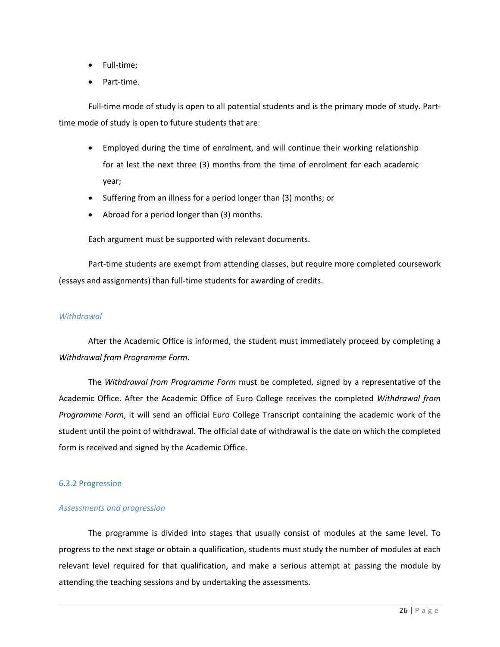- Full-time;
- Part-time.

Full-time mode of study is open to all potential students and is the primary mode of study. Parttime mode of study is open to future students that are:

- Employed during the time of enrolment, and will continue their working relationship for at lest the next three (3) months from the time of enrolment for each academic year;
- Suffering from an illness for a period longer than (3) months; or
- Abroad for a period longer than (3) months.

Each argument must be supported with relevant documents.

Part-time students are exempt from attending classes, but require more completed coursework (essays and assignments) than full‐time students for awarding of credits.

#### *Withdrawal*

After the Academic Office is informed, the student must immediately proceed by completing a *Withdrawal from Programme Form*.

The *Withdrawal from Programme Form* must be completed, signed by a representative of the Academic Office. After the Academic Office of Euro College receives the completed *Withdrawal from Programme Form*, it will send an official Euro College Transcript containing the academic work of the student until the point of withdrawal. The official date of withdrawal is the date on which the completed form is received and signed by the Academic Office.

#### 6.3.2 Progression

#### *Assessments and progression*

The programme is divided into stages that usually consist of modules at the same level. To progress to the next stage or obtain a qualification, students must study the number of modules at each relevant level required for that qualification, and make a serious attempt at passing the module by attending the teaching sessions and by undertaking the assessments.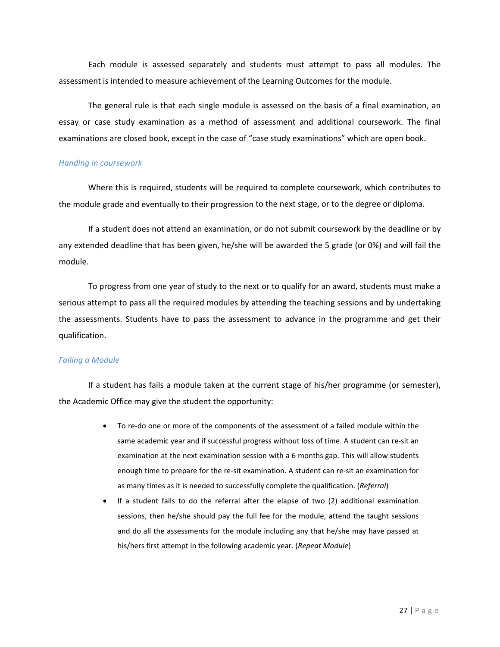Each module is assessed separately and students must attempt to pass all modules. The assessment is intended to measure achievement of the Learning Outcomes for the module.

The general rule is that each single module is assessed on the basis of a final examination, an essay or case study examination as a method of assessment and additional coursework. The final examinations are closed book, except in the case of "case study examinations" which are open book.

#### *Handing in coursework*

Where this is required, students will be required to complete coursework, which contributes to the module grade and eventually to their progression to the next stage, or to the degree or diploma.

If a student does not attend an examination, or do not submit coursework by the deadline or by any extended deadline that has been given, he/she will be awarded the 5 grade (or 0%) and will fail the module.

To progress from one year of study to the next or to qualify for an award, students must make a serious attempt to pass all the required modules by attending the teaching sessions and by undertaking the assessments. Students have to pass the assessment to advance in the programme and get their qualification.

#### *Failing a Module*

If a student has fails a module taken at the current stage of his/her programme (or semester), the Academic Office may give the student the opportunity:

- To re-do one or more of the components of the assessment of a failed module within the same academic year and if successful progress without loss of time. A student can re-sit an examination at the next examination session with a 6 months gap. This will allow students enough time to prepare for the re‐sit examination. A student can re‐sit an examination for as many times as it is needed to successfully complete the qualification. (*Referral*)
- If a student fails to do the referral after the elapse of two (2) additional examination sessions, then he/she should pay the full fee for the module, attend the taught sessions and do all the assessments for the module including any that he/she may have passed at his/hers first attempt in the following academic year. (*Repeat Module*)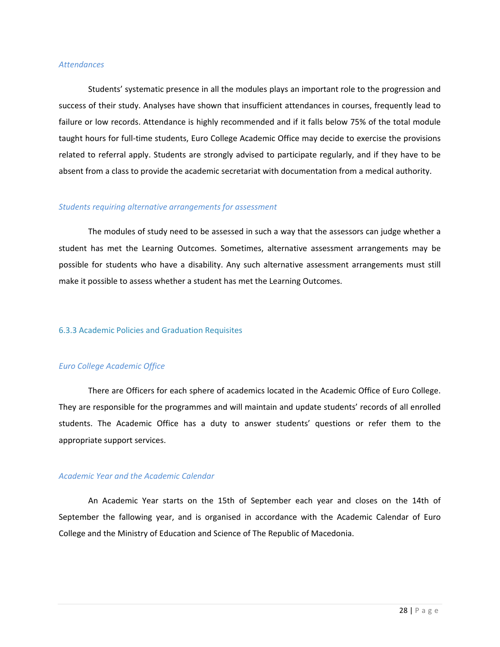#### *Attendances*

Students' systematic presence in all the modules plays an important role to the progression and success of their study. Analyses have shown that insufficient attendances in courses, frequently lead to failure or low records. Attendance is highly recommended and if it falls below 75% of the total module taught hours for full‐time students, Euro College Academic Office may decide to exercise the provisions related to referral apply. Students are strongly advised to participate regularly, and if they have to be absent from a class to provide the academic secretariat with documentation from a medical authority.

#### *Students requiring alternative arrangements for assessment*

The modules of study need to be assessed in such a way that the assessors can judge whether a student has met the Learning Outcomes. Sometimes, alternative assessment arrangements may be possible for students who have a disability. Any such alternative assessment arrangements must still make it possible to assess whether a student has met the Learning Outcomes.

#### 6.3.3 Academic Policies and Graduation Requisites

#### *Euro College Academic Office*

There are Officers for each sphere of academics located in the Academic Office of Euro College. They are responsible for the programmes and will maintain and update students' records of all enrolled students. The Academic Office has a duty to answer students' questions or refer them to the appropriate support services.

#### *Academic Year and the Academic Calendar*

An Academic Year starts on the 15th of September each year and closes on the 14th of September the fallowing year, and is organised in accordance with the Academic Calendar of Euro College and the Ministry of Education and Science of The Republic of Macedonia.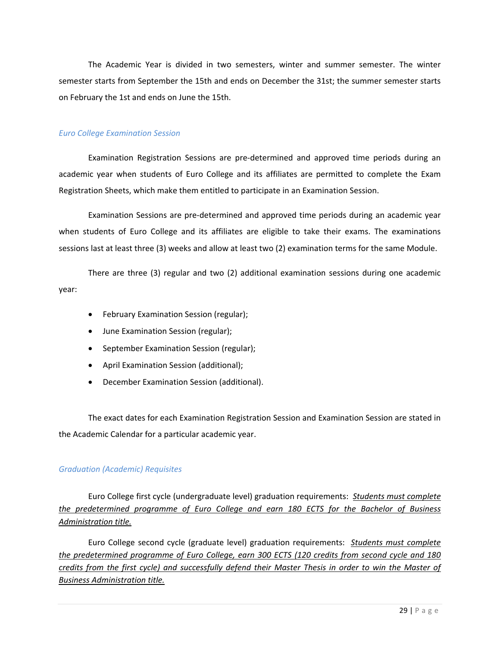The Academic Year is divided in two semesters, winter and summer semester. The winter semester starts from September the 15th and ends on December the 31st; the summer semester starts on February the 1st and ends on June the 15th.

#### *Euro College Examination Session*

Examination Registration Sessions are pre‐determined and approved time periods during an academic year when students of Euro College and its affiliates are permitted to complete the Exam Registration Sheets, which make them entitled to participate in an Examination Session.

Examination Sessions are pre‐determined and approved time periods during an academic year when students of Euro College and its affiliates are eligible to take their exams. The examinations sessions last at least three (3) weeks and allow at least two (2) examination terms for the same Module.

There are three (3) regular and two (2) additional examination sessions during one academic year:

- February Examination Session (regular);
- June Examination Session (regular);
- September Examination Session (regular);
- April Examination Session (additional);
- December Examination Session (additional).

The exact dates for each Examination Registration Session and Examination Session are stated in the Academic Calendar for a particular academic year.

#### *Graduation (Academic) Requisites*

Euro College first cycle (undergraduate level) graduation requirements: *Students must complete the predetermined programme of Euro College and earn 180 ECTS for the Bachelor of Business Administration title.*

Euro College second cycle (graduate level) graduation requirements: *Students must complete the predetermined programme of Euro College, earn 300 ECTS (120 credits from second cycle and 180* credits from the first cycle) and successfully defend their Master Thesis in order to win the Master of *Business Administration title.*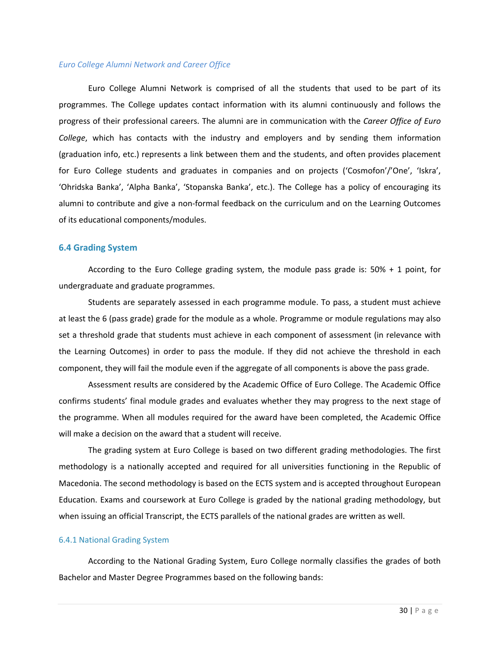#### *Euro College Alumni Network and Career Office*

Euro College Alumni Network is comprised of all the students that used to be part of its programmes. The College updates contact information with its alumni continuously and follows the progress of their professional careers. The alumni are in communication with the *Career Office of Euro College*, which has contacts with the industry and employers and by sending them information (graduation info, etc.) represents a link between them and the students, and often provides placement for Euro College students and graduates in companies and on projects ('Cosmofon'/'One', 'Iskra', 'Ohridska Banka', 'Alpha Banka', 'Stopanska Banka', etc.). The College has a policy of encouraging its alumni to contribute and give a non‐formal feedback on the curriculum and on the Learning Outcomes of its educational components/modules.

#### **6.4 Grading System**

According to the Euro College grading system, the module pass grade is: 50% + 1 point, for undergraduate and graduate programmes.

Students are separately assessed in each programme module. To pass, a student must achieve at least the 6 (pass grade) grade for the module as a whole. Programme or module regulations may also set a threshold grade that students must achieve in each component of assessment (in relevance with the Learning Outcomes) in order to pass the module. If they did not achieve the threshold in each component, they will fail the module even if the aggregate of all components is above the pass grade.

Assessment results are considered by the Academic Office of Euro College. The Academic Office confirms students' final module grades and evaluates whether they may progress to the next stage of the programme. When all modules required for the award have been completed, the Academic Office will make a decision on the award that a student will receive.

The grading system at Euro College is based on two different grading methodologies. The first methodology is a nationally accepted and required for all universities functioning in the Republic of Macedonia. The second methodology is based on the ECTS system and is accepted throughout European Education. Exams and coursework at Euro College is graded by the national grading methodology, but when issuing an official Transcript, the ECTS parallels of the national grades are written as well.

#### 6.4.1 National Grading System

According to the National Grading System, Euro College normally classifies the grades of both Bachelor and Master Degree Programmes based on the following bands: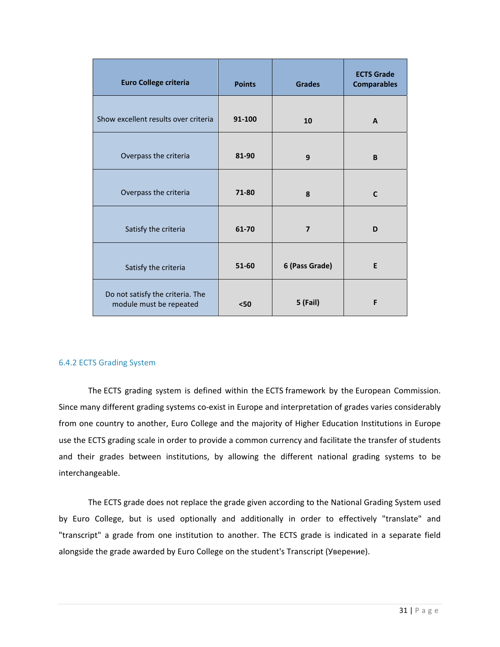| <b>Euro College criteria</b>                                | <b>Points</b> | <b>Grades</b>   | <b>ECTS Grade</b><br><b>Comparables</b> |
|-------------------------------------------------------------|---------------|-----------------|-----------------------------------------|
| Show excellent results over criteria                        | 91-100        | 10              | A                                       |
| Overpass the criteria                                       | 81-90         | 9               | B                                       |
| Overpass the criteria                                       | 71-80         | 8               | C                                       |
| Satisfy the criteria                                        | 61-70         | $\overline{7}$  | D                                       |
| Satisfy the criteria                                        | 51-60         | 6 (Pass Grade)  | E                                       |
| Do not satisfy the criteria. The<br>module must be repeated | < 50          | <b>5 (Fail)</b> | F                                       |

#### 6.4.2 ECTS Grading System

The ECTS grading system is defined within the ECTS framework by the European Commission. Since many different grading systems co‐exist in Europe and interpretation of grades varies considerably from one country to another, Euro College and the majority of Higher Education Institutions in Europe use the ECTS grading scale in order to provide a common currency and facilitate the transfer of students and their grades between institutions, by allowing the different national grading systems to be interchangeable.

The ECTS grade does not replace the grade given according to the National Grading System used by Euro College, but is used optionally and additionally in order to effectively "translate" and "transcript" a grade from one institution to another. The ECTS grade is indicated in a separate field alongside the grade awarded by Euro College on the student's Transcript (Уверение).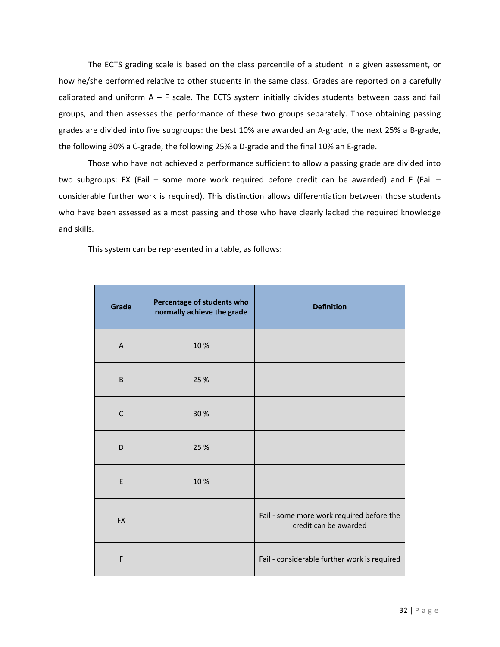The ECTS grading scale is based on the class percentile of a student in a given assessment, or how he/she performed relative to other students in the same class. Grades are reported on a carefully calibrated and uniform  $A - F$  scale. The ECTS system initially divides students between pass and fail groups, and then assesses the performance of these two groups separately. Those obtaining passing grades are divided into five subgroups: the best 10% are awarded an A‐grade, the next 25% a B‐grade, the following 30% a C‐grade, the following 25% a D‐grade and the final 10% an E‐grade.

Those who have not achieved a performance sufficient to allow a passing grade are divided into two subgroups: FX (Fail – some more work required before credit can be awarded) and F (Fail – considerable further work is required). This distinction allows differentiation between those students who have been assessed as almost passing and those who have clearly lacked the required knowledge and skills.

This system can be represented in a table, as follows:

| Grade          | Percentage of students who<br>normally achieve the grade | <b>Definition</b>                                                  |
|----------------|----------------------------------------------------------|--------------------------------------------------------------------|
| $\overline{A}$ | 10 %                                                     |                                                                    |
| $\sf B$        | 25 %                                                     |                                                                    |
| $\mathsf C$    | 30 %                                                     |                                                                    |
| D              | 25 %                                                     |                                                                    |
| E              | 10%                                                      |                                                                    |
| <b>FX</b>      |                                                          | Fail - some more work required before the<br>credit can be awarded |
| $\mathsf F$    |                                                          | Fail - considerable further work is required                       |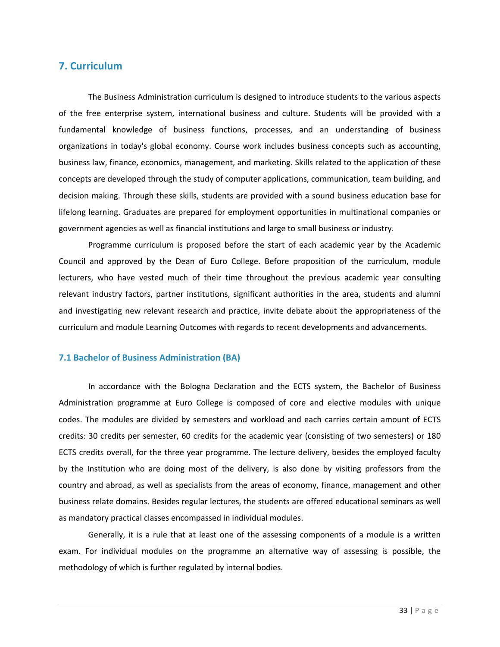# **7. Curriculum**

The Business Administration curriculum is designed to introduce students to the various aspects of the free enterprise system, international business and culture. Students will be provided with a fundamental knowledge of business functions, processes, and an understanding of business organizations in today's global economy. Course work includes business concepts such as accounting, business law, finance, economics, management, and marketing. Skills related to the application of these concepts are developed through the study of computer applications, communication, team building, and decision making. Through these skills, students are provided with a sound business education base for lifelong learning. Graduates are prepared for employment opportunities in multinational companies or government agencies as well as financial institutions and large to small business or industry.

Programme curriculum is proposed before the start of each academic year by the Academic Council and approved by the Dean of Euro College. Before proposition of the curriculum, module lecturers, who have vested much of their time throughout the previous academic year consulting relevant industry factors, partner institutions, significant authorities in the area, students and alumni and investigating new relevant research and practice, invite debate about the appropriateness of the curriculum and module Learning Outcomes with regards to recent developments and advancements.

#### **7.1 Bachelor of Business Administration (BA)**

In accordance with the Bologna Declaration and the ECTS system, the Bachelor of Business Administration programme at Euro College is composed of core and elective modules with unique codes. The modules are divided by semesters and workload and each carries certain amount of ECTS credits: 30 credits per semester, 60 credits for the academic year (consisting of two semesters) or 180 ECTS credits overall, for the three year programme. The lecture delivery, besides the employed faculty by the Institution who are doing most of the delivery, is also done by visiting professors from the country and abroad, as well as specialists from the areas of economy, finance, management and other business relate domains. Besides regular lectures, the students are offered educational seminars as well as mandatory practical classes encompassed in individual modules.

Generally, it is a rule that at least one of the assessing components of a module is a written exam. For individual modules on the programme an alternative way of assessing is possible, the methodology of which is further regulated by internal bodies.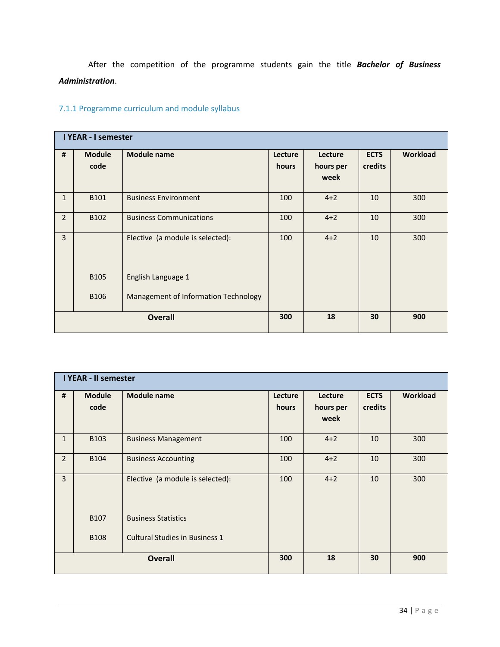After the competition of the programme students gain the title *Bachelor of Business Administration*.

# 7.1.1 Programme curriculum and module syllabus

|                | <b>I YEAR - I semester</b> |                                      |         |           |             |          |  |  |  |
|----------------|----------------------------|--------------------------------------|---------|-----------|-------------|----------|--|--|--|
| $\pmb{\sharp}$ | <b>Module</b>              | <b>Module name</b>                   | Lecture | Lecture   | <b>ECTS</b> | Workload |  |  |  |
|                | code                       |                                      | hours   | hours per | credits     |          |  |  |  |
|                |                            |                                      |         | week      |             |          |  |  |  |
|                |                            |                                      |         |           |             |          |  |  |  |
| $\mathbf{1}$   | B101                       | <b>Business Environment</b>          | 100     | $4 + 2$   | 10          | 300      |  |  |  |
| $\overline{2}$ | B102                       | <b>Business Communications</b>       | 100     | $4 + 2$   | 10          | 300      |  |  |  |
|                |                            |                                      |         |           |             |          |  |  |  |
| $\overline{3}$ |                            | Elective (a module is selected):     | 100     | $4 + 2$   | 10          | 300      |  |  |  |
|                |                            |                                      |         |           |             |          |  |  |  |
|                |                            |                                      |         |           |             |          |  |  |  |
|                | <b>B105</b>                | English Language 1                   |         |           |             |          |  |  |  |
|                |                            |                                      |         |           |             |          |  |  |  |
|                | <b>B106</b>                | Management of Information Technology |         |           |             |          |  |  |  |
|                |                            | <b>Overall</b>                       | 300     | 18        | 30          | 900      |  |  |  |
|                |                            |                                      |         |           |             |          |  |  |  |

|                | <b>I YEAR - II semester</b> |                                       |         |           |             |          |  |  |  |
|----------------|-----------------------------|---------------------------------------|---------|-----------|-------------|----------|--|--|--|
| #              | <b>Module</b>               | <b>Module name</b>                    | Lecture | Lecture   | <b>ECTS</b> | Workload |  |  |  |
|                | code                        |                                       | hours   | hours per | credits     |          |  |  |  |
|                |                             |                                       |         | week      |             |          |  |  |  |
|                |                             |                                       |         |           |             |          |  |  |  |
| $\mathbf{1}$   | B103                        | <b>Business Management</b>            | 100     | $4 + 2$   | 10          | 300      |  |  |  |
| $\overline{2}$ | <b>B104</b>                 | <b>Business Accounting</b>            | 100     | $4 + 2$   | 10          | 300      |  |  |  |
| $\overline{3}$ |                             | Elective (a module is selected):      | 100     | $4 + 2$   | 10          | 300      |  |  |  |
|                | <b>B107</b>                 | <b>Business Statistics</b>            |         |           |             |          |  |  |  |
|                | <b>B108</b>                 | <b>Cultural Studies in Business 1</b> |         |           |             |          |  |  |  |
|                | <b>Overall</b>              |                                       |         | 18        | 30          | 900      |  |  |  |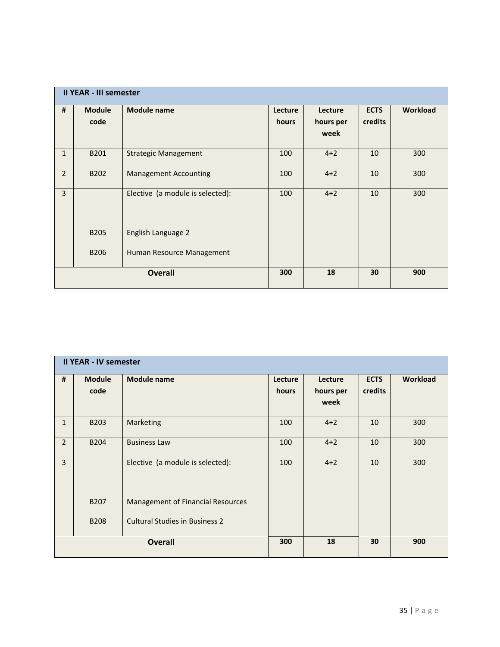|                | <b>II YEAR - III semester</b> |                                  |                  |                      |                        |          |  |  |  |
|----------------|-------------------------------|----------------------------------|------------------|----------------------|------------------------|----------|--|--|--|
| #              | <b>Module</b><br>code         | <b>Module name</b>               | Lecture<br>hours | Lecture<br>hours per | <b>ECTS</b><br>credits | Workload |  |  |  |
|                |                               |                                  |                  | week                 |                        |          |  |  |  |
| $\mathbf{1}$   | B201                          | <b>Strategic Management</b>      | 100              | $4 + 2$              | 10                     | 300      |  |  |  |
| $\overline{2}$ | B <sub>202</sub>              | <b>Management Accounting</b>     | 100              | $4 + 2$              | 10                     | 300      |  |  |  |
| 3              |                               | Elective (a module is selected): | 100              | $4 + 2$              | 10                     | 300      |  |  |  |
|                | B <sub>205</sub>              | English Language 2               |                  |                      |                        |          |  |  |  |
|                | <b>B206</b>                   | Human Resource Management        |                  |                      |                        |          |  |  |  |
|                | <b>Overall</b>                |                                  |                  | 18                   | 30                     | 900      |  |  |  |

|                | <b>II YEAR - IV semester</b> |                                          |                  |                              |                        |          |  |  |  |
|----------------|------------------------------|------------------------------------------|------------------|------------------------------|------------------------|----------|--|--|--|
| #              | <b>Module</b><br>code        | <b>Module name</b>                       | Lecture<br>hours | Lecture<br>hours per<br>week | <b>ECTS</b><br>credits | Workload |  |  |  |
| $\mathbf{1}$   | B203                         | Marketing                                | 100              | $4 + 2$                      | 10                     | 300      |  |  |  |
| $\overline{2}$ | <b>B204</b>                  | <b>Business Law</b>                      | 100              | $4 + 2$                      | 10                     | 300      |  |  |  |
| $\overline{3}$ |                              | Elective (a module is selected):         | 100              | $4 + 2$                      | 10                     | 300      |  |  |  |
|                | <b>B207</b>                  | <b>Management of Financial Resources</b> |                  |                              |                        |          |  |  |  |
|                | <b>B208</b>                  | <b>Cultural Studies in Business 2</b>    |                  |                              |                        |          |  |  |  |
| <b>Overall</b> |                              |                                          | 300              | 18                           | 30                     | 900      |  |  |  |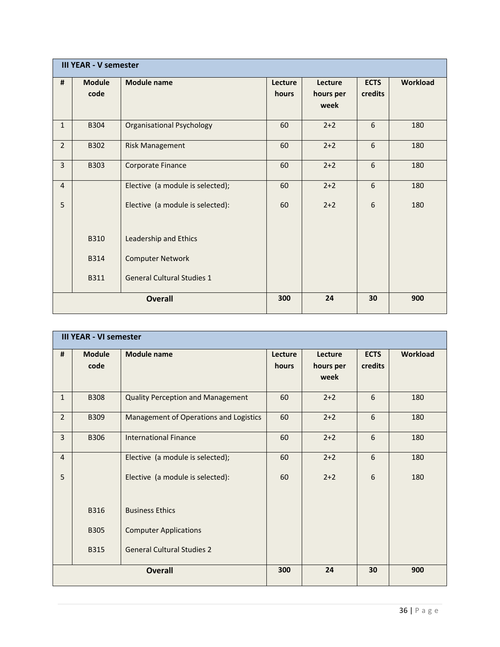|                | <b>III YEAR - V semester</b> |                                   |                  |                              |                        |                 |  |  |
|----------------|------------------------------|-----------------------------------|------------------|------------------------------|------------------------|-----------------|--|--|
| #              | <b>Module</b><br>code        | <b>Module name</b>                | Lecture<br>hours | Lecture<br>hours per<br>week | <b>ECTS</b><br>credits | <b>Workload</b> |  |  |
| $\mathbf{1}$   | B304                         | <b>Organisational Psychology</b>  | 60               | $2+2$                        | 6                      | 180             |  |  |
| $2^{\circ}$    | B302                         | <b>Risk Management</b>            | 60               | $2+2$                        | 6                      | 180             |  |  |
| $\overline{3}$ | <b>B303</b>                  | Corporate Finance                 | 60               | $2+2$                        | 6                      | 180             |  |  |
| $\overline{4}$ |                              | Elective (a module is selected);  | 60               | $2+2$                        | 6                      | 180             |  |  |
| 5              |                              | Elective (a module is selected):  | 60               | $2+2$                        | 6                      | 180             |  |  |
|                | <b>B310</b>                  | Leadership and Ethics             |                  |                              |                        |                 |  |  |
|                | <b>B314</b>                  | <b>Computer Network</b>           |                  |                              |                        |                 |  |  |
|                | <b>B311</b>                  | <b>General Cultural Studies 1</b> |                  |                              |                        |                 |  |  |
|                | <b>Overall</b>               |                                   |                  | 24                           | 30                     | 900             |  |  |

|                | <b>III YEAR - VI semester</b> |                                          |                  |                              |                        |                 |  |  |
|----------------|-------------------------------|------------------------------------------|------------------|------------------------------|------------------------|-----------------|--|--|
| #              | <b>Module</b><br>code         | <b>Module name</b>                       | Lecture<br>hours | Lecture<br>hours per<br>week | <b>ECTS</b><br>credits | <b>Workload</b> |  |  |
| $\mathbf{1}$   | <b>B308</b>                   | <b>Quality Perception and Management</b> | 60               | $2+2$                        | 6                      | 180             |  |  |
| $\overline{2}$ | <b>B309</b>                   | Management of Operations and Logistics   | 60               | $2+2$                        | 6                      | 180             |  |  |
| $\overline{3}$ | <b>B306</b>                   | <b>International Finance</b>             | 60               | $2+2$                        | 6                      | 180             |  |  |
| $\overline{4}$ |                               | Elective (a module is selected);         | 60               | $2+2$                        | 6                      | 180             |  |  |
| 5              |                               | Elective (a module is selected):         | 60               | $2+2$                        | 6                      | 180             |  |  |
|                | <b>B316</b>                   | <b>Business Ethics</b>                   |                  |                              |                        |                 |  |  |
|                | <b>B305</b>                   | <b>Computer Applications</b>             |                  |                              |                        |                 |  |  |
|                | <b>B315</b>                   | <b>General Cultural Studies 2</b>        |                  |                              |                        |                 |  |  |
|                |                               | <b>Overall</b>                           | 300              | 24                           | 30                     | 900             |  |  |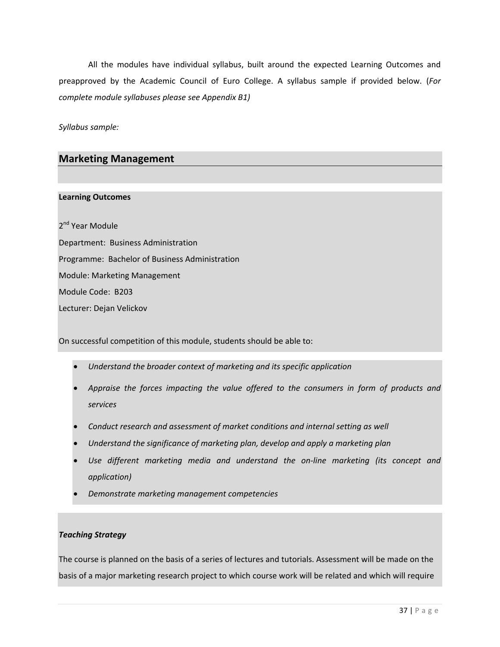All the modules have individual syllabus, built around the expected Learning Outcomes and preapproved by the Academic Council of Euro College. A syllabus sample if provided below. (*For complete module syllabuses please see Appendix B1)*

*Syllabus sample:*

# **Marketing Management**

#### **Learning Outcomes**

2<sup>nd</sup> Year Module Department: Business Administration Programme: Bachelor of Business Administration Module: Marketing Management Module Code: B203 Lecturer: Dejan Velickov

On successful competition of this module, students should be able to:

- *Understand the broader context of marketing and its specific application*
- *Appraise the forces impacting the value offered to the consumers in form of products and services*
- *Conduct research and assessment of market conditions and internal setting as well*
- *Understand the significance of marketing plan, develop and apply a marketing plan*
- *Use different marketing media and understand the on‐line marketing (its concept and application)*
- *Demonstrate marketing management competencies*

#### *Teaching Strategy*

The course is planned on the basis of a series of lectures and tutorials. Assessment will be made on the basis of a major marketing research project to which course work will be related and which will require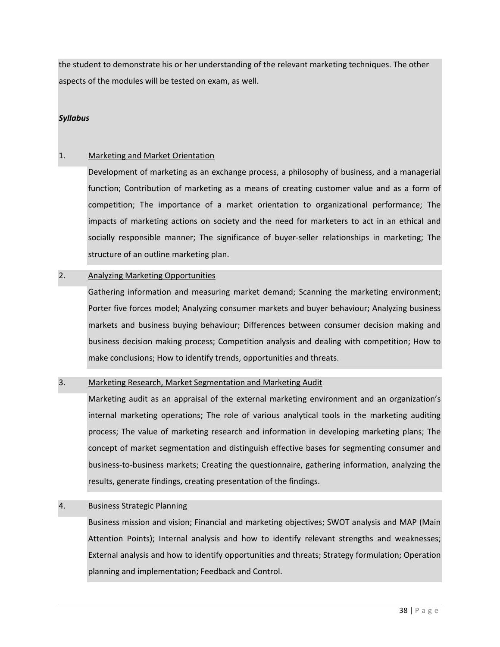the student to demonstrate his or her understanding of the relevant marketing techniques. The other aspects of the modules will be tested on exam, as well.

#### *Syllabus*

#### 1. Marketing and Market Orientation

Development of marketing as an exchange process, a philosophy of business, and a managerial function; Contribution of marketing as a means of creating customer value and as a form of competition; The importance of a market orientation to organizational performance; The impacts of marketing actions on society and the need for marketers to act in an ethical and socially responsible manner; The significance of buyer-seller relationships in marketing; The structure of an outline marketing plan.

#### 2. Analyzing Marketing Opportunities

Gathering information and measuring market demand; Scanning the marketing environment; Porter five forces model; Analyzing consumer markets and buyer behaviour; Analyzing business markets and business buying behaviour; Differences between consumer decision making and business decision making process; Competition analysis and dealing with competition; How to make conclusions; How to identify trends, opportunities and threats.

#### 3. Marketing Research, Market Segmentation and Marketing Audit

Marketing audit as an appraisal of the external marketing environment and an organization's internal marketing operations; The role of various analytical tools in the marketing auditing process; The value of marketing research and information in developing marketing plans; The concept of market segmentation and distinguish effective bases for segmenting consumer and business‐to‐business markets; Creating the questionnaire, gathering information, analyzing the results, generate findings, creating presentation of the findings.

#### 4. Business Strategic Planning

Business mission and vision; Financial and marketing objectives; SWOT analysis and MAP (Main Attention Points); Internal analysis and how to identify relevant strengths and weaknesses; External analysis and how to identify opportunities and threats; Strategy formulation; Operation planning and implementation; Feedback and Control.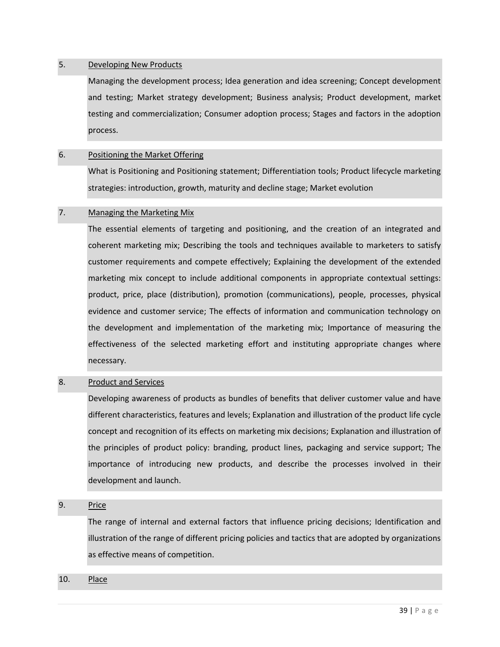#### 5. Developing New Products

Managing the development process; Idea generation and idea screening; Concept development and testing; Market strategy development; Business analysis; Product development, market testing and commercialization; Consumer adoption process; Stages and factors in the adoption process.

#### 6. Positioning the Market Offering

What is Positioning and Positioning statement; Differentiation tools; Product lifecycle marketing strategies: introduction, growth, maturity and decline stage; Market evolution

#### 7. Managing the Marketing Mix

The essential elements of targeting and positioning, and the creation of an integrated and coherent marketing mix; Describing the tools and techniques available to marketers to satisfy customer requirements and compete effectively; Explaining the development of the extended marketing mix concept to include additional components in appropriate contextual settings: product, price, place (distribution), promotion (communications), people, processes, physical evidence and customer service; The effects of information and communication technology on the development and implementation of the marketing mix; Importance of measuring the effectiveness of the selected marketing effort and instituting appropriate changes where necessary.

#### 8. Product and Services

Developing awareness of products as bundles of benefits that deliver customer value and have different characteristics, features and levels; Explanation and illustration of the product life cycle concept and recognition of its effects on marketing mix decisions; Explanation and illustration of the principles of product policy: branding, product lines, packaging and service support; The importance of introducing new products, and describe the processes involved in their development and launch.

#### 9. Price

The range of internal and external factors that influence pricing decisions; Identification and illustration of the range of different pricing policies and tactics that are adopted by organizations as effective means of competition.

#### 10. Place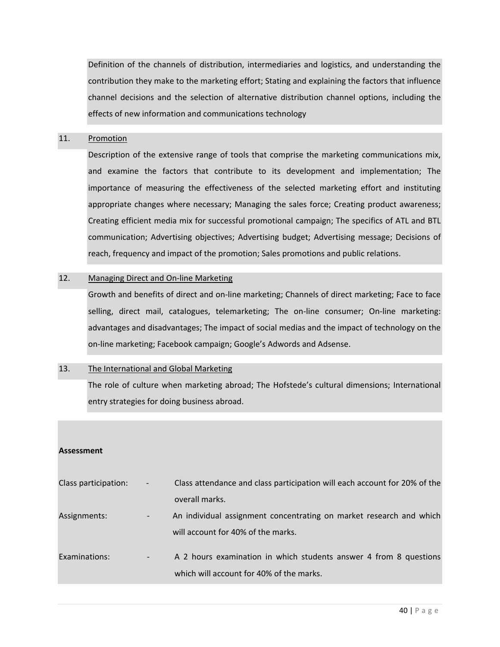Definition of the channels of distribution, intermediaries and logistics, and understanding the contribution they make to the marketing effort; Stating and explaining the factors that influence channel decisions and the selection of alternative distribution channel options, including the effects of new information and communications technology

#### 11. Promotion

Description of the extensive range of tools that comprise the marketing communications mix, and examine the factors that contribute to its development and implementation; The importance of measuring the effectiveness of the selected marketing effort and instituting appropriate changes where necessary; Managing the sales force; Creating product awareness; Creating efficient media mix for successful promotional campaign; The specifics of ATL and BTL communication; Advertising objectives; Advertising budget; Advertising message; Decisions of reach, frequency and impact of the promotion; Sales promotions and public relations.

#### 12. Managing Direct and On-line Marketing

Growth and benefits of direct and on‐line marketing; Channels of direct marketing; Face to face selling, direct mail, catalogues, telemarketing; The on-line consumer; On-line marketing: advantages and disadvantages; The impact of social medias and the impact of technology on the on‐line marketing; Facebook campaign; Google's Adwords and Adsense.

#### 13. The International and Global Marketing

The role of culture when marketing abroad; The Hofstede's cultural dimensions; International entry strategies for doing business abroad.

#### **Assessment**

| Class participation: | $\overline{\phantom{a}}$ | Class attendance and class participation will each account for 20% of the |
|----------------------|--------------------------|---------------------------------------------------------------------------|
|                      |                          | overall marks.                                                            |
| Assignments:         | $\overline{\phantom{a}}$ | An individual assignment concentrating on market research and which       |
|                      |                          | will account for 40% of the marks.                                        |
| Examinations:        | $\overline{\phantom{a}}$ | A 2 hours examination in which students answer 4 from 8 questions         |
|                      |                          | which will account for 40% of the marks.                                  |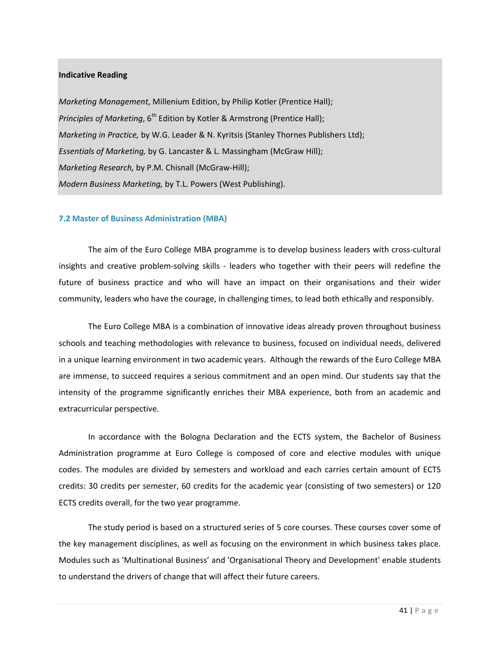#### **Indicative Reading**

*Marketing Management*, Millenium Edition, by Philip Kotler (Prentice Hall); *Principles of Marketing*, 6<sup>th</sup> Edition by Kotler & Armstrong (Prentice Hall); *Marketing in Practice,* by W.G. Leader & N. Kyritsis (Stanley Thornes Publishers Ltd); *Essentials of Marketing,* by G. Lancaster & L. Massingham (McGraw Hill); *Marketing Research,* by P.M. Chisnall (McGraw‐Hill); *Modern Business Marketing,* by T.L. Powers (West Publishing).

#### **7.2 Master of Business Administration (MBA)**

The aim of the Euro College MBA programme is to develop business leaders with cross‐cultural insights and creative problem-solving skills - leaders who together with their peers will redefine the future of business practice and who will have an impact on their organisations and their wider community, leaders who have the courage, in challenging times, to lead both ethically and responsibly.

The Euro College MBA is a combination of innovative ideas already proven throughout business schools and teaching methodologies with relevance to business, focused on individual needs, delivered in a unique learning environment in two academic years. Although the rewards of the Euro College MBA are immense, to succeed requires a serious commitment and an open mind. Our students say that the intensity of the programme significantly enriches their MBA experience, both from an academic and extracurricular perspective.

In accordance with the Bologna Declaration and the ECTS system, the Bachelor of Business Administration programme at Euro College is composed of core and elective modules with unique codes. The modules are divided by semesters and workload and each carries certain amount of ECTS credits: 30 credits per semester, 60 credits for the academic year (consisting of two semesters) or 120 ECTS credits overall, for the two year programme.

The study period is based on a structured series of 5 core courses. These courses cover some of the key management disciplines, as well as focusing on the environment in which business takes place. Modules such as 'Multinational Business' and 'Organisational Theory and Development' enable students to understand the drivers of change that will affect their future careers.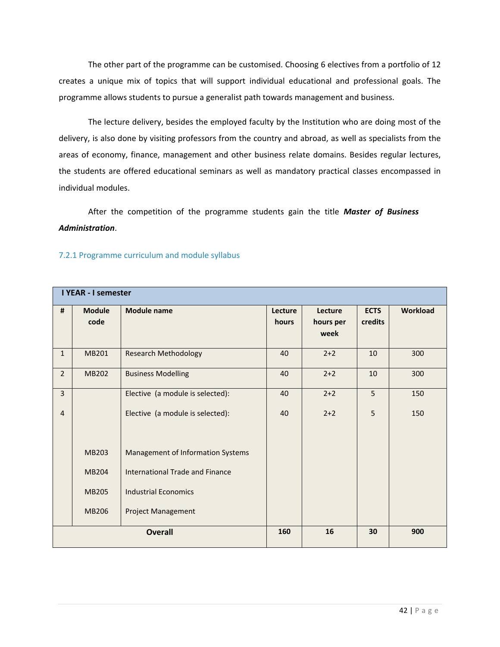The other part of the programme can be customised. Choosing 6 electives from a portfolio of 12 creates a unique mix of topics that will support individual educational and professional goals. The programme allows students to pursue a generalist path towards management and business.

The lecture delivery, besides the employed faculty by the Institution who are doing most of the delivery, is also done by visiting professors from the country and abroad, as well as specialists from the areas of economy, finance, management and other business relate domains. Besides regular lectures, the students are offered educational seminars as well as mandatory practical classes encompassed in individual modules.

After the competition of the programme students gain the title *Master of Business Administration*.

|                | <b>I YEAR - I semester</b> |                                          |                  |                              |                        |          |  |
|----------------|----------------------------|------------------------------------------|------------------|------------------------------|------------------------|----------|--|
| #              | <b>Module</b><br>code      | <b>Module name</b>                       | Lecture<br>hours | Lecture<br>hours per<br>week | <b>ECTS</b><br>credits | Workload |  |
| $\mathbf{1}$   | MB201                      | <b>Research Methodology</b>              | 40               | $2+2$                        | 10                     | 300      |  |
| $\overline{2}$ | <b>MB202</b>               | <b>Business Modelling</b>                | 40               | $2+2$                        | 10                     | 300      |  |
| $\overline{3}$ |                            | Elective (a module is selected):         | 40               | $2+2$                        | 5                      | 150      |  |
| $\overline{4}$ |                            | Elective (a module is selected):         | 40               | $2+2$                        | 5                      | 150      |  |
|                | <b>MB203</b>               | <b>Management of Information Systems</b> |                  |                              |                        |          |  |
|                | <b>MB204</b>               | <b>International Trade and Finance</b>   |                  |                              |                        |          |  |
|                | <b>MB205</b>               | <b>Industrial Economics</b>              |                  |                              |                        |          |  |
|                | <b>MB206</b>               | <b>Project Management</b>                |                  |                              |                        |          |  |
|                | <b>Overall</b>             |                                          |                  | 16                           | 30                     | 900      |  |

#### 7.2.1 Programme curriculum and module syllabus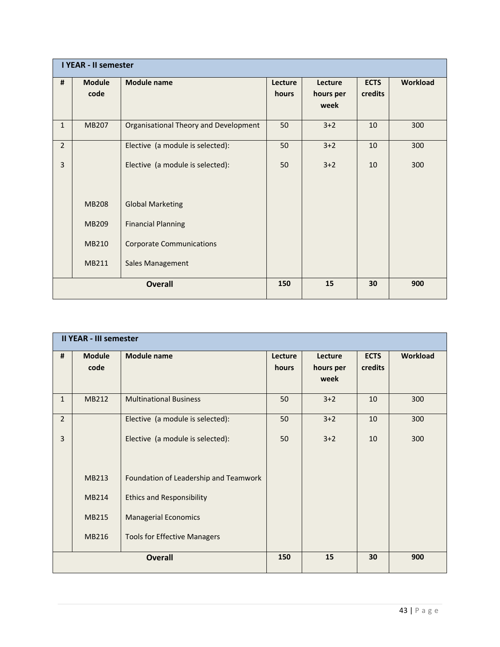|                | <b>I YEAR - II semester</b> |                                       |                  |                              |                        |          |  |  |
|----------------|-----------------------------|---------------------------------------|------------------|------------------------------|------------------------|----------|--|--|
| #              | <b>Module</b><br>code       | <b>Module name</b>                    | Lecture<br>hours | Lecture<br>hours per<br>week | <b>ECTS</b><br>credits | Workload |  |  |
| $\mathbf{1}$   | <b>MB207</b>                | Organisational Theory and Development | 50               | $3+2$                        | 10                     | 300      |  |  |
| $\overline{2}$ |                             | Elective (a module is selected):      | 50               | $3+2$                        | 10                     | 300      |  |  |
| 3              |                             | Elective (a module is selected):      | 50               | $3+2$                        | 10                     | 300      |  |  |
|                | <b>MB208</b>                | <b>Global Marketing</b>               |                  |                              |                        |          |  |  |
|                | MB209                       | <b>Financial Planning</b>             |                  |                              |                        |          |  |  |
|                | <b>MB210</b>                | <b>Corporate Communications</b>       |                  |                              |                        |          |  |  |
|                | MB211                       | Sales Management                      |                  |                              |                        |          |  |  |
|                |                             | <b>Overall</b>                        | 150              | 15                           | 30                     | 900      |  |  |

| <b>II YEAR - III semester</b> |                       |                                       |                  |                              |                        |                 |  |  |  |  |
|-------------------------------|-----------------------|---------------------------------------|------------------|------------------------------|------------------------|-----------------|--|--|--|--|
| #                             | <b>Module</b><br>code | <b>Module name</b>                    | Lecture<br>hours | Lecture<br>hours per<br>week | <b>ECTS</b><br>credits | <b>Workload</b> |  |  |  |  |
| $\mathbf{1}$                  | MB212                 | <b>Multinational Business</b>         | 50               | $3+2$                        | 10                     | 300             |  |  |  |  |
| $\overline{2}$                |                       | Elective (a module is selected):      | 50               | $3+2$                        | 10                     | 300             |  |  |  |  |
| $\overline{3}$                |                       | Elective (a module is selected):      | 50               | $3+2$                        | 10                     | 300             |  |  |  |  |
|                               | MB213                 | Foundation of Leadership and Teamwork |                  |                              |                        |                 |  |  |  |  |
|                               | MB214                 | <b>Ethics and Responsibility</b>      |                  |                              |                        |                 |  |  |  |  |
|                               | MB215                 | <b>Managerial Economics</b>           |                  |                              |                        |                 |  |  |  |  |
|                               | MB216                 | <b>Tools for Effective Managers</b>   |                  |                              |                        |                 |  |  |  |  |
| <b>Overall</b>                |                       |                                       | 150              | 15                           | 30                     | 900             |  |  |  |  |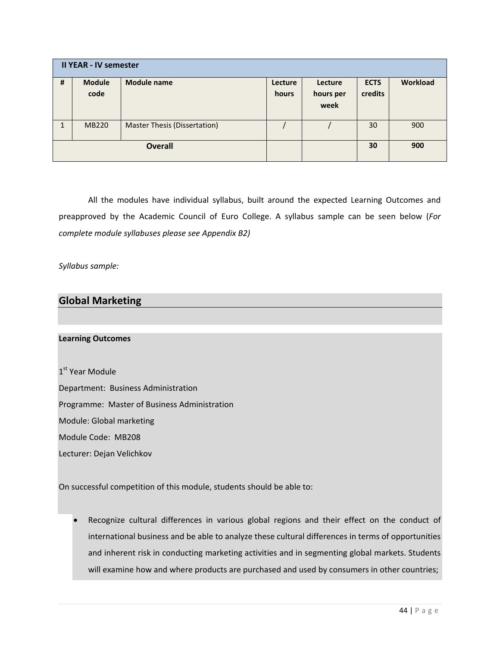| <b>II YEAR - IV semester</b> |                       |                                     |                  |                              |                        |                 |  |  |  |  |
|------------------------------|-----------------------|-------------------------------------|------------------|------------------------------|------------------------|-----------------|--|--|--|--|
| #                            | <b>Module</b><br>code | <b>Module name</b>                  | Lecture<br>hours | Lecture<br>hours per<br>week | <b>ECTS</b><br>credits | <b>Workload</b> |  |  |  |  |
|                              | <b>MB220</b>          | <b>Master Thesis (Dissertation)</b> |                  |                              | 30                     | 900             |  |  |  |  |
| <b>Overall</b>               |                       |                                     |                  |                              | 30                     | 900             |  |  |  |  |

All the modules have individual syllabus, built around the expected Learning Outcomes and preapproved by the Academic Council of Euro College. A syllabus sample can be seen below (*For complete module syllabuses please see Appendix B2)*

*Syllabus sample:*

# **Global Marketing**

#### **Learning Outcomes**

1<sup>st</sup> Year Module Department: Business Administration Programme: Master of Business Administration Module: Global marketing Module Code: MB208 Lecturer: Dejan Velichkov

On successful competition of this module, students should be able to:

 Recognize cultural differences in various global regions and their effect on the conduct of international business and be able to analyze these cultural differences in terms of opportunities and inherent risk in conducting marketing activities and in segmenting global markets. Students will examine how and where products are purchased and used by consumers in other countries;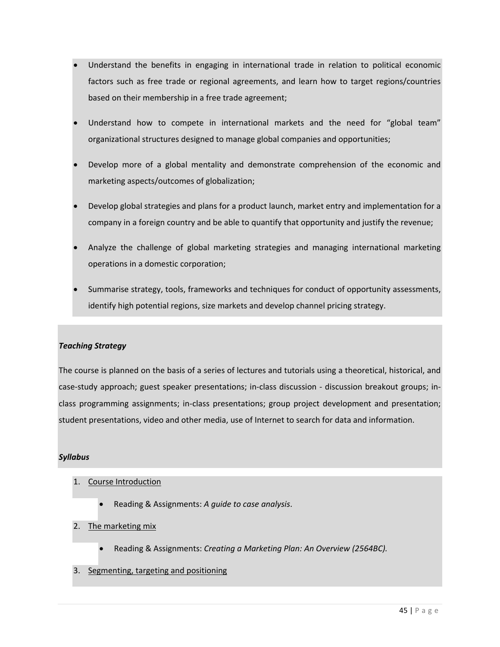- Understand the benefits in engaging in international trade in relation to political economic factors such as free trade or regional agreements, and learn how to target regions/countries based on their membership in a free trade agreement;
- Understand how to compete in international markets and the need for "global team" organizational structures designed to manage global companies and opportunities;
- Develop more of a global mentality and demonstrate comprehension of the economic and marketing aspects/outcomes of globalization;
- Develop global strategies and plans for a product launch, market entry and implementation for a company in a foreign country and be able to quantify that opportunity and justify the revenue;
- Analyze the challenge of global marketing strategies and managing international marketing operations in a domestic corporation;
- Summarise strategy, tools, frameworks and techniques for conduct of opportunity assessments, identify high potential regions, size markets and develop channel pricing strategy.

#### *Teaching Strategy*

The course is planned on the basis of a series of lectures and tutorials using a theoretical, historical, and case‐study approach; guest speaker presentations; in‐class discussion ‐ discussion breakout groups; in‐ class programming assignments; in‐class presentations; group project development and presentation; student presentations, video and other media, use of Internet to search for data and information.

## *Syllabus*

- 1. Course Introduction
	- Reading & Assignments: *A guide to case analysis*.
- 2. The marketing mix
	- Reading & Assignments: *Creating a Marketing Plan: An Overview (2564BC).*
- 3. Segmenting, targeting and positioning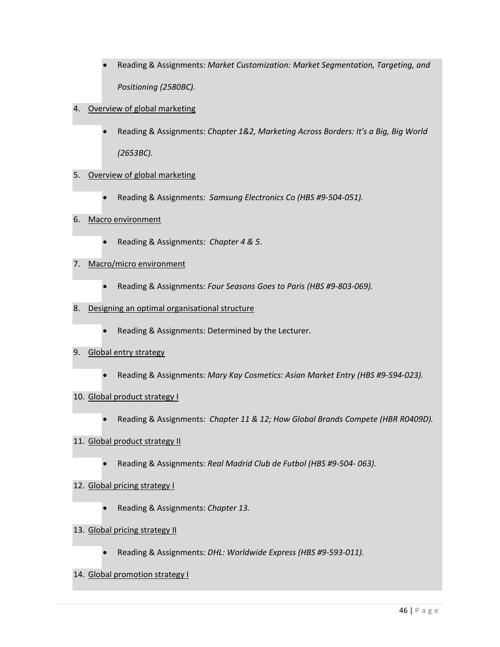- Reading & Assignments: *Market Customization: Market Segmentation, Targeting, and Positioning (2580BC).*
- 4. Overview of global marketing
	- Reading & Assignments: *Chapter 1&2, Marketing Across Borders: It's a Big, Big World (2653BC).*

## 5. Overview of global marketing

- Reading & Assignments: *Samsung Electronics Co (HBS #9‐504‐051).*
- 6. Macro environment
	- Reading & Assignments: *Chapter 4 & 5*.

#### 7. Macro/micro environment

- Reading & Assignments: *Four Seasons Goes to Paris (HBS #9‐803‐069).*
- 8. Designing an optimal organisational structure
	- Reading & Assignments: Determined by the Lecturer.

#### 9. Global entry strategy

Reading & Assignments: *Mary Kay Cosmetics: Asian Market Entry (HBS #9‐594‐023).*

#### 10. Global product strategy I

Reading & Assignments: *Chapter 11 & 12; How Global Brands Compete (HBR R0409D).*

#### 11. Global product strategy II

Reading & Assignments: *Real Madrid Club de Futbol (HBS #9‐504‐ 063).*

# 12. Global pricing strategy I

Reading & Assignments: *Chapter 13.*

# 13. Global pricing strategy II

Reading & Assignments: *DHL: Worldwide Express (HBS #9‐593‐011).*

# 14. Global promotion strategy I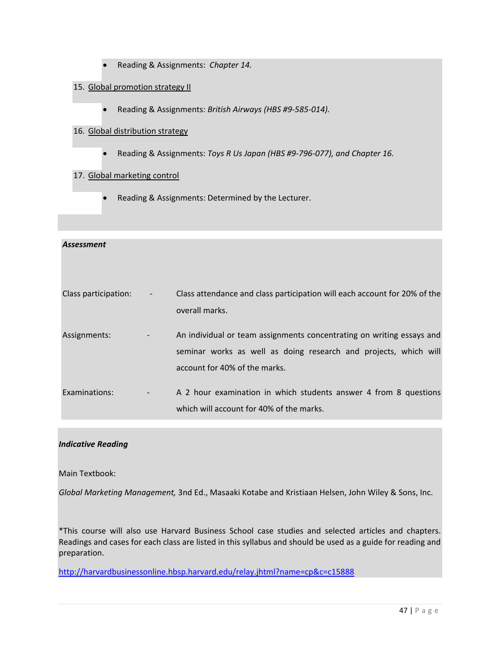- Reading & Assignments: *Chapter 14.*
- 15. Global promotion strategy II
	- Reading & Assignments: *British Airways (HBS #9‐585‐014).*

#### 16. Global distribution strategy

Reading & Assignments: *Toys R Us Japan (HBS #9‐796‐077), and Chapter 16.*

#### 17. Global marketing control

Reading & Assignments: Determined by the Lecturer.

# *Assessment* Class participation: ‐ Class attendance and class participation will each account for 20% of the overall marks. Assignments: ‐ An individual or team assignments concentrating on writing essays and seminar works as well as doing research and projects, which will account for 40% of the marks. Examinations: **Examinations:** A 2 hour examination in which students answer 4 from 8 questions which will account for 40% of the marks.

## *Indicative Reading*

Main Textbook:

*Global Marketing Management,* 3nd Ed., Masaaki Kotabe and Kristiaan Helsen, John Wiley & Sons, Inc.

\*This course will also use Harvard Business School case studies and selected articles and chapters. Readings and cases for each class are listed in this syllabus and should be used as a guide for reading and preparation.

http://harvardbusinessonline.hbsp.harvard.edu/relay.jhtml?name=cp&c=c15888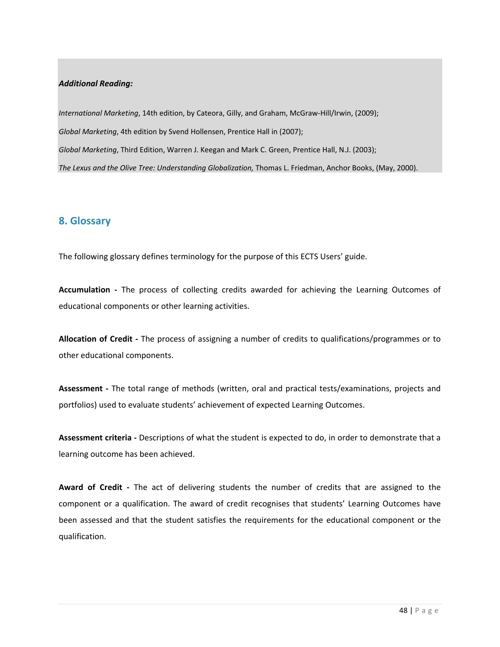#### *Additional Reading:*

*International Marketing*, 14th edition, by Cateora, Gilly, and Graham, McGraw‐Hill/Irwin, (2009); *Global Marketing*, 4th edition by Svend Hollensen, Prentice Hall in (2007); *Global Marketing*, Third Edition, Warren J. Keegan and Mark C. Green, Prentice Hall, N.J. (2003); *The Lexus and the Olive Tree: Understanding Globalization,* Thomas L. Friedman, Anchor Books, (May, 2000).

# **8. Glossary**

The following glossary defines terminology for the purpose of this ECTS Users' guide.

**Accumulation ‐**  The process of collecting credits awarded for achieving the Learning Outcomes of educational components or other learning activities.

**Allocation of Credit ‐** The process of assigning a number of credits to qualifications/programmes or to other educational components.

**Assessment ‐** The total range of methods (written, oral and practical tests/examinations, projects and portfolios) used to evaluate students' achievement of expected Learning Outcomes.

**Assessment criteria ‐** Descriptions of what the student is expected to do, in order to demonstrate that a learning outcome has been achieved.

**Award of Credit ‐**  The act of delivering students the number of credits that are assigned to the component or a qualification. The award of credit recognises that students' Learning Outcomes have been assessed and that the student satisfies the requirements for the educational component or the qualification.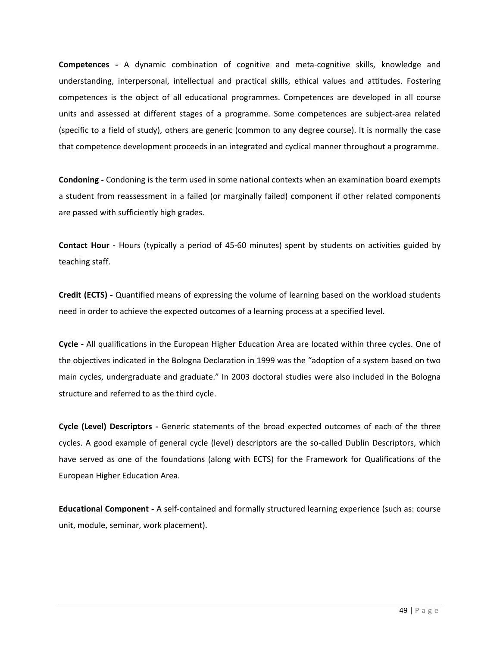**Competences** - A dynamic combination of cognitive and meta-cognitive skills, knowledge and understanding, interpersonal, intellectual and practical skills, ethical values and attitudes. Fostering competences is the object of all educational programmes. Competences are developed in all course units and assessed at different stages of a programme. Some competences are subject-area related (specific to a field of study), others are generic (common to any degree course). It is normally the case that competence development proceeds in an integrated and cyclical manner throughout a programme.

**Condoning ‐** Condoning is the term used in some national contexts when an examination board exempts a student from reassessment in a failed (or marginally failed) component if other related components are passed with sufficiently high grades.

**Contact Hour ‐** Hours (typically a period of 45‐60 minutes) spent by students on activities guided by teaching staff.

**Credit (ECTS) ‐** Quantified means of expressing the volume of learning based on the workload students need in order to achieve the expected outcomes of a learning process at a specified level.

**Cycle ‐** All qualifications in the European Higher Education Area are located within three cycles. One of the objectives indicated in the Bologna Declaration in 1999 was the "adoption of a system based on two main cycles, undergraduate and graduate." In 2003 doctoral studies were also included in the Bologna structure and referred to as the third cycle.

**Cycle (Level) Descriptors ‐** Generic statements of the broad expected outcomes of each of the three cycles. A good example of general cycle (level) descriptors are the so-called Dublin Descriptors, which have served as one of the foundations (along with ECTS) for the Framework for Qualifications of the European Higher Education Area.

**Educational Component ‐** A self‐contained and formally structured learning experience (such as: course unit, module, seminar, work placement).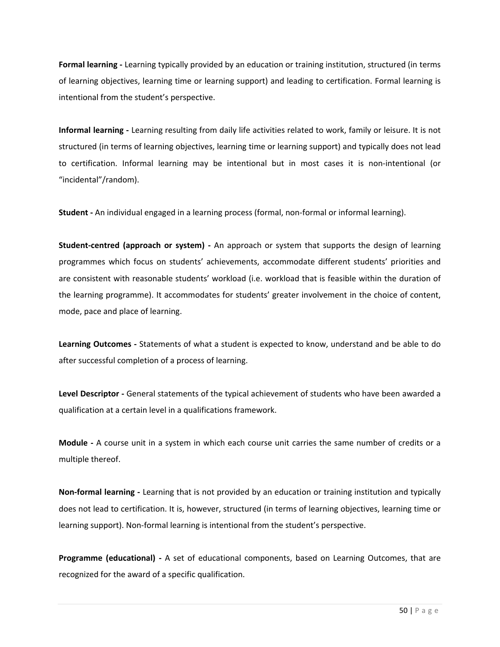**Formal learning ‐** Learning typically provided by an education or training institution, structured (in terms of learning objectives, learning time or learning support) and leading to certification. Formal learning is intentional from the student's perspective.

**Informal learning ‐** Learning resulting from daily life activities related to work, family or leisure. It is not structured (in terms of learning objectives, learning time or learning support) and typically does not lead to certification. Informal learning may be intentional but in most cases it is non-intentional (or "incidental"/random).

**Student ‐** An individual engaged in a learning process (formal, non‐formal or informal learning).

**Student‐centred (approach or system) ‐** An approach or system that supports the design of learning programmes which focus on students' achievements, accommodate different students' priorities and are consistent with reasonable students' workload (i.e. workload that is feasible within the duration of the learning programme). It accommodates for students' greater involvement in the choice of content, mode, pace and place of learning.

**Learning Outcomes ‐** Statements of what a student is expected to know, understand and be able to do after successful completion of a process of learning.

**Level Descriptor ‐** General statements of the typical achievement of students who have been awarded a qualification at a certain level in a qualifications framework.

**Module** - A course unit in a system in which each course unit carries the same number of credits or a multiple thereof.

**Non‐formal learning ‐** Learning that is not provided by an education or training institution and typically does not lead to certification. It is, however, structured (in terms of learning objectives, learning time or learning support). Non‐formal learning is intentional from the student's perspective.

**Programme (educational) ‐**  A set of educational components, based on Learning Outcomes, that are recognized for the award of a specific qualification.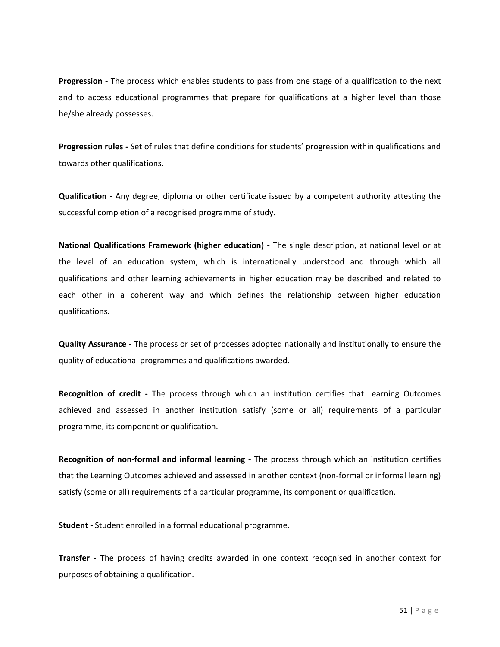**Progression ‐** The process which enables students to pass from one stage of a qualification to the next and to access educational programmes that prepare for qualifications at a higher level than those he/she already possesses.

**Progression rules ‐** Set of rules that define conditions for students' progression within qualifications and towards other qualifications.

**Qualification ‐** Any degree, diploma or other certificate issued by a competent authority attesting the successful completion of a recognised programme of study.

**National Qualifications Framework (higher education) ‐** The single description, at national level or at the level of an education system, which is internationally understood and through which all qualifications and other learning achievements in higher education may be described and related to each other in a coherent way and which defines the relationship between higher education qualifications.

**Quality Assurance ‐** The process or set of processes adopted nationally and institutionally to ensure the quality of educational programmes and qualifications awarded.

**Recognition of credit ‐**  The process through which an institution certifies that Learning Outcomes achieved and assessed in another institution satisfy (some or all) requirements of a particular programme, its component or qualification.

**Recognition of non‐formal and informal learning ‐**  The process through which an institution certifies that the Learning Outcomes achieved and assessed in another context (non-formal or informal learning) satisfy (some or all) requirements of a particular programme, its component or qualification.

**Student ‐** Student enrolled in a formal educational programme.

**Transfer** - The process of having credits awarded in one context recognised in another context for purposes of obtaining a qualification.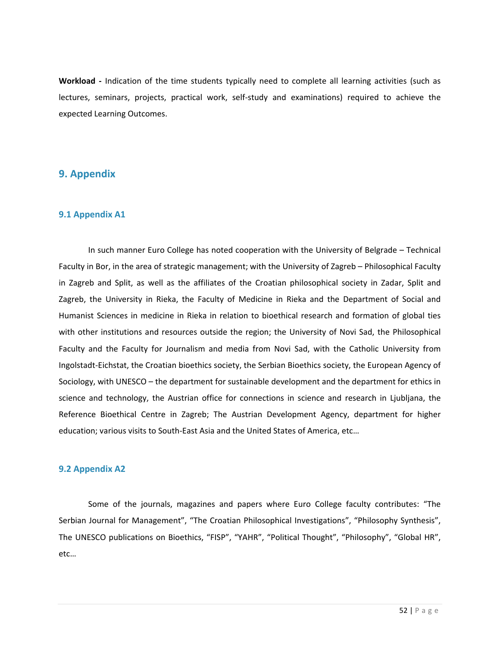Workload - Indication of the time students typically need to complete all learning activities (such as lectures, seminars, projects, practical work, self‐study and examinations) required to achieve the expected Learning Outcomes.

# **9. Appendix**

#### **9.1 Appendix A1**

In such manner Euro College has noted cooperation with the University of Belgrade – Technical Faculty in Bor, in the area of strategic management; with the University of Zagreb – Philosophical Faculty in Zagreb and Split, as well as the affiliates of the Croatian philosophical society in Zadar, Split and Zagreb, the University in Rieka, the Faculty of Medicine in Rieka and the Department of Social and Humanist Sciences in medicine in Rieka in relation to bioethical research and formation of global ties with other institutions and resources outside the region; the University of Novi Sad, the Philosophical Faculty and the Faculty for Journalism and media from Novi Sad, with the Catholic University from Ingolstadt‐Eichstat, the Croatian bioethics society, the Serbian Bioethics society, the European Agency of Sociology, with UNESCO – the department for sustainable development and the department for ethics in science and technology, the Austrian office for connections in science and research in Ljubljana, the Reference Bioethical Centre in Zagreb; The Austrian Development Agency, department for higher education; various visits to South‐East Asia and the United States of America, etc…

#### **9.2 Appendix A2**

Some of the journals, magazines and papers where Euro College faculty contributes: "The Serbian Journal for Management", "The Croatian Philosophical Investigations", "Philosophy Synthesis", The UNESCO publications on Bioethics, "FISP", "YAHR", "Political Thought", "Philosophy", "Global HR", etc…